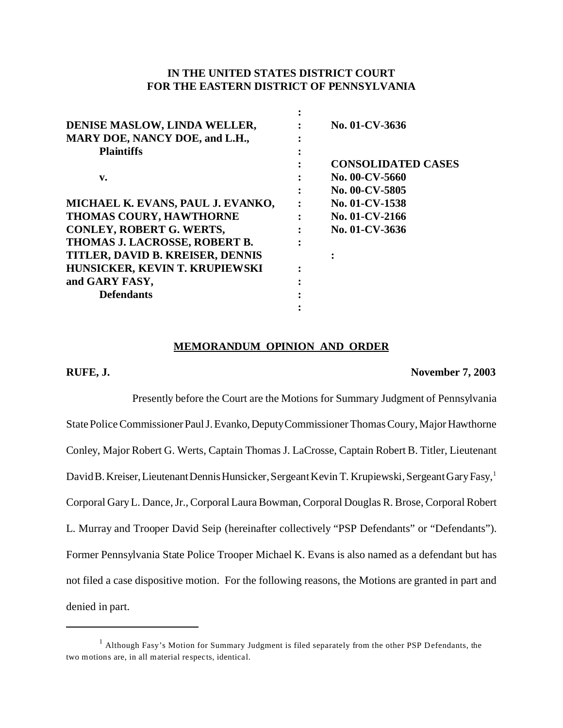# **IN THE UNITED STATES DISTRICT COURT FOR THE EASTERN DISTRICT OF PENNSYLVANIA**

**:**

| DENISE MASLOW, LINDA WELLER,<br>MARY DOE, NANCY DOE, and L.H., | No. 01-CV-3636            |
|----------------------------------------------------------------|---------------------------|
| <b>Plaintiffs</b>                                              |                           |
|                                                                | <b>CONSOLIDATED CASES</b> |
| v.                                                             | No. 00-CV-5660            |
|                                                                | No. 00-CV-5805            |
| MICHAEL K. EVANS, PAUL J. EVANKO,                              | No. 01-CV-1538            |
| THOMAS COURY, HAWTHORNE                                        | No. 01-CV-2166            |
| <b>CONLEY, ROBERT G. WERTS,</b>                                | No. 01-CV-3636            |
| THOMAS J. LACROSSE, ROBERT B.                                  |                           |
| TITLER, DAVID B. KREISER, DENNIS                               |                           |
| HUNSICKER, KEVIN T. KRUPIEWSKI                                 |                           |
| and GARY FASY,                                                 |                           |
| <b>Defendants</b>                                              |                           |
|                                                                |                           |

#### **MEMORANDUM OPINION AND ORDER**

#### **RUFE, J. November 7, 2003**

Presently before the Court are the Motions for Summary Judgment of Pennsylvania State Police Commissioner Paul J. Evanko, Deputy Commissioner Thomas Coury, Major Hawthorne Conley, Major Robert G. Werts, Captain Thomas J. LaCrosse, Captain Robert B. Titler, Lieutenant David B. Kreiser, Lieutenant Dennis Hunsicker, Sergeant Kevin T. Krupiewski, Sergeant Gary Fasy,<sup>1</sup> Corporal Gary L. Dance, Jr., Corporal Laura Bowman, Corporal Douglas R. Brose, Corporal Robert L. Murray and Trooper David Seip (hereinafter collectively "PSP Defendants" or "Defendants"). Former Pennsylvania State Police Trooper Michael K. Evans is also named as a defendant but has not filed a case dispositive motion. For the following reasons, the Motions are granted in part and denied in part.

 $1$  Although Fasy's Motion for Summary Judgment is filed separately from the other PSP Defendants, the two motions are, in all material respects, identical.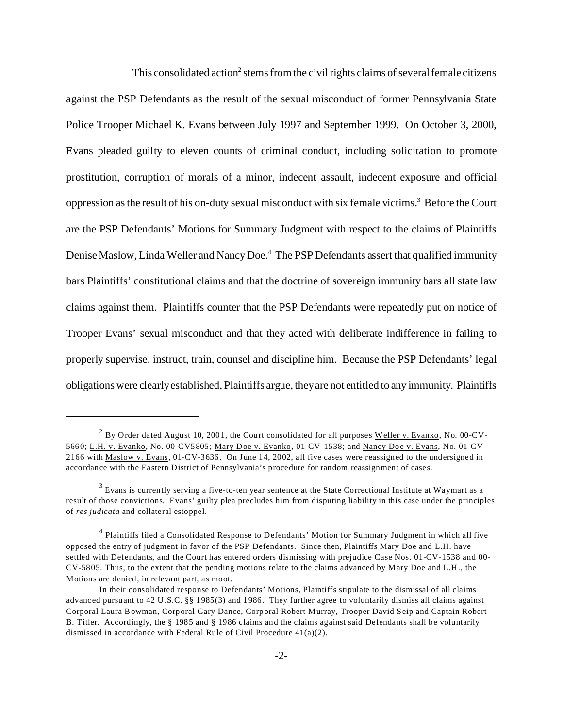This consolidated action<sup>2</sup> stems from the civil rights claims of several female citizens against the PSP Defendants as the result of the sexual misconduct of former Pennsylvania State Police Trooper Michael K. Evans between July 1997 and September 1999. On October 3, 2000, Evans pleaded guilty to eleven counts of criminal conduct, including solicitation to promote prostitution, corruption of morals of a minor, indecent assault, indecent exposure and official oppression as the result of his on-duty sexual misconduct with six female victims.<sup>3</sup> Before the Court are the PSP Defendants' Motions for Summary Judgment with respect to the claims of Plaintiffs Denise Maslow, Linda Weller and Nancy Doe.<sup>4</sup> The PSP Defendants assert that qualified immunity bars Plaintiffs' constitutional claims and that the doctrine of sovereign immunity bars all state law claims against them. Plaintiffs counter that the PSP Defendants were repeatedly put on notice of Trooper Evans' sexual misconduct and that they acted with deliberate indifference in failing to properly supervise, instruct, train, counsel and discipline him. Because the PSP Defendants' legal obligations were clearly established, Plaintiffs argue, they are not entitled to any immunity. Plaintiffs

 $^2$  By Order dated August 10, 2001, the Court consolidated for all purposes <u>Weller v. Evanko</u>, No. 00-CV-5660; L.H. v. Evanko, No. 00-CV5805; Mary Doe v. Evanko, 01-CV-1538; and Nancy Doe v. Evans, No. 01-CV-2166 with Maslow v. Evans, 01-CV-3636. On June 14, 2002, all five cases were reassigned to the undersigned in accordance with the Eastern District of Pennsylvania's procedure for random reassignment of cases.

 $^3$  Evans is currently serving a five-to-ten year sentence at the State Correctional Institute at Waymart as a result of those convictions. Evans' guilty plea precludes him from disputing liability in this case under the principles of *res judicata* and collateral estoppel.

<sup>&</sup>lt;sup>4</sup> Plaintiffs filed a Consolidated Response to Defendants' Motion for Summary Judgment in which all five opposed the entry of judgment in favor of the PSP Defendants. Since then, Plaintiffs Mary Doe and L.H. have settled with Defendants, and the Court has entered orders dismissing with prejudice Case Nos. 01-CV-1538 and 00- CV-5805. Thus, to the extent that the pending motions relate to the claims advanced by Mary Doe and L.H., the Motions are denied, in relevant part, as moot.

In their consolidated response to Defendants' Motions, Plaintiffs stipulate to the dismissal of all claims advanced pursuant to 42 U.S.C. §§ 1985(3) and 1986. They further agree to voluntarily dismiss all claims against Corporal Laura Bowman, Corporal Gary Dance, Corporal Robert Murray, Trooper David Seip and Captain Robert B. Titler. Accordingly, the § 1985 and § 1986 claims and the claims against said Defendants shall be voluntarily dismissed in accordance with Federal Rule of Civil Procedure 41(a)(2).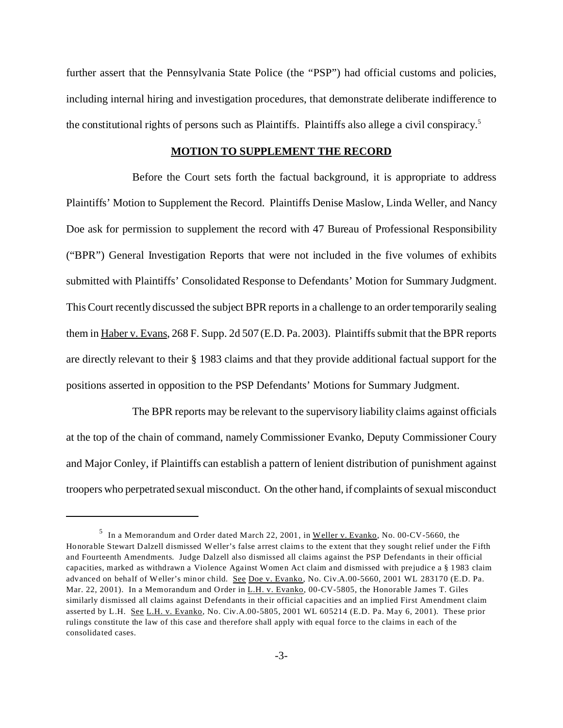further assert that the Pennsylvania State Police (the "PSP") had official customs and policies, including internal hiring and investigation procedures, that demonstrate deliberate indifference to the constitutional rights of persons such as Plaintiffs. Plaintiffs also allege a civil conspiracy.<sup>5</sup>

# **MOTION TO SUPPLEMENT THE RECORD**

Before the Court sets forth the factual background, it is appropriate to address Plaintiffs' Motion to Supplement the Record. Plaintiffs Denise Maslow, Linda Weller, and Nancy Doe ask for permission to supplement the record with 47 Bureau of Professional Responsibility ("BPR") General Investigation Reports that were not included in the five volumes of exhibits submitted with Plaintiffs' Consolidated Response to Defendants' Motion for Summary Judgment. This Court recently discussed the subject BPR reports in a challenge to an order temporarily sealing them in Haber v. Evans, 268 F. Supp. 2d 507 (E.D. Pa. 2003). Plaintiffs submit that the BPR reports are directly relevant to their § 1983 claims and that they provide additional factual support for the positions asserted in opposition to the PSP Defendants' Motions for Summary Judgment.

The BPR reports may be relevant to the supervisory liability claims against officials at the top of the chain of command, namely Commissioner Evanko, Deputy Commissioner Coury and Major Conley, if Plaintiffs can establish a pattern of lenient distribution of punishment against troopers who perpetrated sexual misconduct. On the other hand, if complaints of sexual misconduct

 $^5$  In a Memorandum and Order dated March 22, 2001, in Weller v. Evanko, No. 00-CV-5660, the Honorable Stewart Dalzell dismissed Weller's false arrest claims to the extent that they sought relief under the Fifth and Fourteenth Amendments. Judge Dalzell also dismissed all claims against the PSP Defendants in their official capacities, marked as withdrawn a Violence Against Women Act claim and dismissed with prejudice a § 1983 claim advanced on behalf of Weller's minor child. See Doe v. Evanko, No. Civ.A.00-5660, 2001 WL 283170 (E.D. Pa. Mar. 22, 2001). In a Memorandum and Order in L.H. v. Evanko, 00-CV-5805, the Honorable James T. Giles similarly dismissed all claims against Defendants in their official capacities and an implied First Amendment claim asserted by L.H. See L.H. v. Evanko, No. Civ.A.00-5805, 2001 WL 605214 (E.D. Pa. May 6, 2001). These prior rulings constitute the law of this case and therefore shall apply with equal force to the claims in each of the consolidated cases.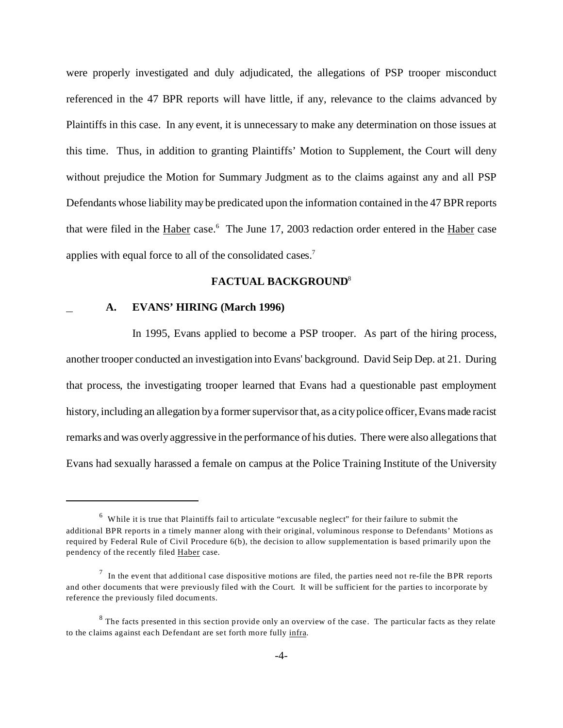were properly investigated and duly adjudicated, the allegations of PSP trooper misconduct referenced in the 47 BPR reports will have little, if any, relevance to the claims advanced by Plaintiffs in this case. In any event, it is unnecessary to make any determination on those issues at this time. Thus, in addition to granting Plaintiffs' Motion to Supplement, the Court will deny without prejudice the Motion for Summary Judgment as to the claims against any and all PSP Defendants whose liability may be predicated upon the information contained in the 47 BPR reports that were filed in the *Haber* case.<sup>6</sup> The June 17, 2003 redaction order entered in the *Haber* case applies with equal force to all of the consolidated cases.<sup>7</sup>

#### **FACTUAL BACKGROUND**<sup>8</sup>

## **A. EVANS' HIRING (March 1996)**

In 1995, Evans applied to become a PSP trooper. As part of the hiring process, another trooper conducted an investigation into Evans' background. David Seip Dep. at 21. During that process, the investigating trooper learned that Evans had a questionable past employment history, including an allegation by a former supervisor that, as a city police officer, Evans made racist remarks and was overly aggressive in the performance of his duties. There were also allegations that Evans had sexually harassed a female on campus at the Police Training Institute of the University

<sup>&</sup>lt;sup>6</sup> While it is true that Plaintiffs fail to articulate "excusable neglect" for their failure to submit the additional BPR reports in a timely manner along with their original, voluminous response to Defendants' Motions as required by Federal Rule of Civil Procedure 6(b), the decision to allow supplementation is based primarily upon the pendency of the recently filed Haber case.

 $<sup>7</sup>$  In the event that additional case dispositive motions are filed, the parties need not re-file the BPR reports</sup> and other documents that were previously filed with the Court. It will be sufficient for the parties to incorporate by reference the previously filed documents.

 $8$  The facts presented in this section provide only an overview of the case. The particular facts as they relate to the claims against each Defendant are set forth more fully infra.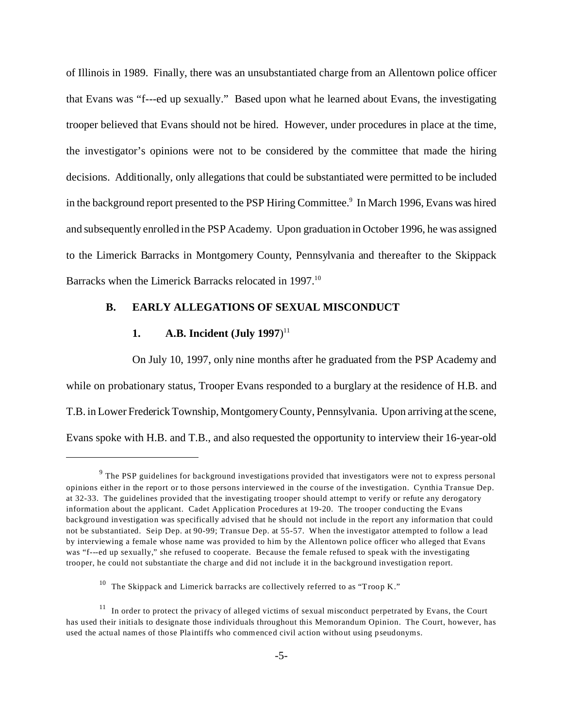of Illinois in 1989. Finally, there was an unsubstantiated charge from an Allentown police officer that Evans was "f---ed up sexually." Based upon what he learned about Evans, the investigating trooper believed that Evans should not be hired. However, under procedures in place at the time, the investigator's opinions were not to be considered by the committee that made the hiring decisions. Additionally, only allegations that could be substantiated were permitted to be included in the background report presented to the PSP Hiring Committee.<sup>9</sup> In March 1996, Evans was hired and subsequently enrolled in the PSP Academy. Upon graduation in October 1996, he was assigned to the Limerick Barracks in Montgomery County, Pennsylvania and thereafter to the Skippack Barracks when the Limerick Barracks relocated in 1997.<sup>10</sup>

### **B. EARLY ALLEGATIONS OF SEXUAL MISCONDUCT**

# **1. A.B. Incident (July 1997**) 11

On July 10, 1997, only nine months after he graduated from the PSP Academy and while on probationary status, Trooper Evans responded to a burglary at the residence of H.B. and T.B. in Lower Frederick Township, Montgomery County, Pennsylvania. Upon arriving at the scene, Evans spoke with H.B. and T.B., and also requested the opportunity to interview their 16-year-old

 $9$  The PSP guidelines for background investigations provided that investigators were not to express personal opinions either in the report or to those persons interviewed in the course of the investigation. Cynthia Transue Dep. at 32-33. The guidelines provided that the investigating trooper should attempt to verify or refute any derogatory information about the applicant. Cadet Application Procedures at 19-20. The trooper conducting the Evans background investigation was specifically advised that he should not include in the report any information that could not be substantiated. Seip Dep. at 90-99; Transue Dep. at 55-57. When the investigator attempted to follow a lead by interviewing a female whose name was provided to him by the Allentown police officer who alleged that Evans was "f---ed up sexually," she refused to cooperate. Because the female refused to speak with the investigating trooper, he could not substantiate the charge and did not include it in the background investigation report.

 $^{10}$  The Skippack and Limerick barracks are collectively referred to as "Troop K."

<sup>&</sup>lt;sup>11</sup> In order to protect the privacy of alleged victims of sexual misconduct perpetrated by Evans, the Court has used their initials to designate those individuals throughout this Memorandum Opinion. The Court, however, has used the actual names of those Plaintiffs who commenced civil action without using pseudonyms.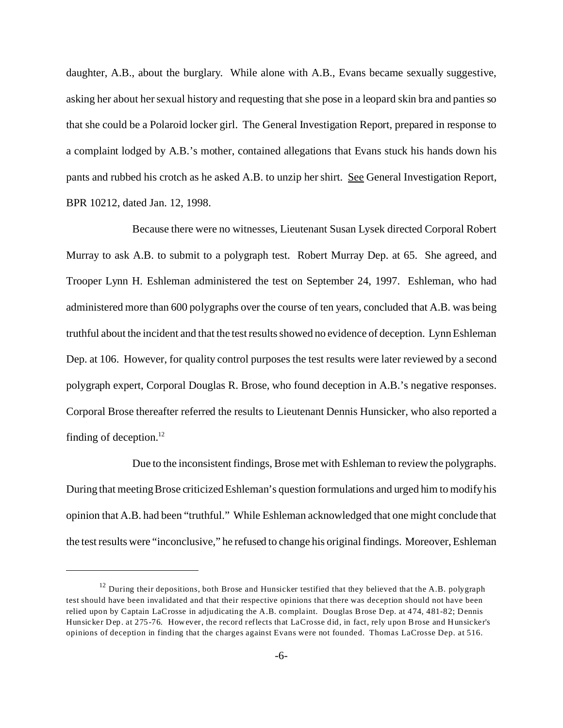daughter, A.B., about the burglary. While alone with A.B., Evans became sexually suggestive, asking her about her sexual history and requesting that she pose in a leopard skin bra and panties so that she could be a Polaroid locker girl. The General Investigation Report, prepared in response to a complaint lodged by A.B.'s mother, contained allegations that Evans stuck his hands down his pants and rubbed his crotch as he asked A.B. to unzip her shirt. See General Investigation Report, BPR 10212, dated Jan. 12, 1998.

Because there were no witnesses, Lieutenant Susan Lysek directed Corporal Robert Murray to ask A.B. to submit to a polygraph test. Robert Murray Dep. at 65. She agreed, and Trooper Lynn H. Eshleman administered the test on September 24, 1997. Eshleman, who had administered more than 600 polygraphs over the course of ten years, concluded that A.B. was being truthful about the incident and that the test results showed no evidence of deception. Lynn Eshleman Dep. at 106. However, for quality control purposes the test results were later reviewed by a second polygraph expert, Corporal Douglas R. Brose, who found deception in A.B.'s negative responses. Corporal Brose thereafter referred the results to Lieutenant Dennis Hunsicker, who also reported a finding of deception.<sup>12</sup>

Due to the inconsistent findings, Brose met with Eshleman to review the polygraphs. During that meeting Brose criticized Eshleman's question formulations and urged him to modify his opinion that A.B. had been "truthful." While Eshleman acknowledged that one might conclude that the test results were "inconclusive," he refused to change his original findings. Moreover, Eshleman

 $12$  During their depositions, both Brose and Hunsicker testified that they believed that the A.B. polygraph test should have been invalidated and that their respective opinions that there was deception should not have been relied upon by Captain LaCrosse in adjudicating the A.B. complaint. Douglas Brose Dep. at 474, 481-82; Dennis Hunsicker Dep. at 275-76. However, the record reflects that LaCrosse did, in fact, rely upon Brose and Hunsicker's opinions of deception in finding that the charges against Evans were not founded. Thomas LaCrosse Dep. at 516.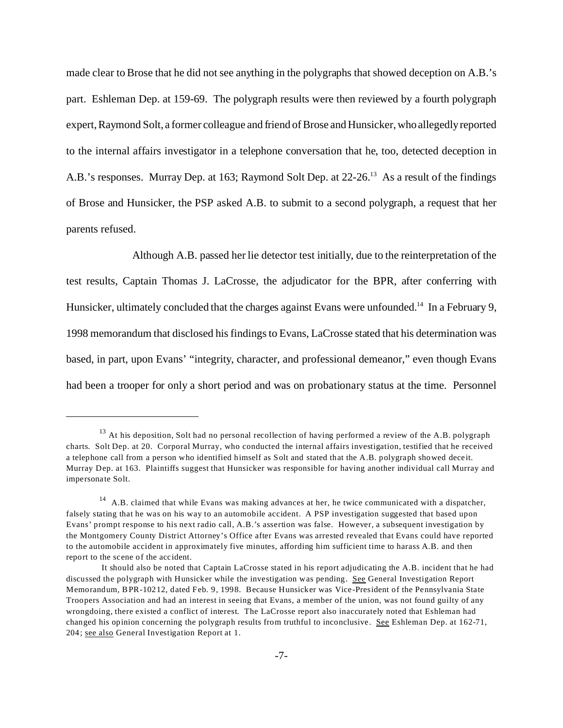made clear to Brose that he did not see anything in the polygraphs that showed deception on A.B.'s part. Eshleman Dep. at 159-69. The polygraph results were then reviewed by a fourth polygraph expert, Raymond Solt, a former colleague and friend of Brose and Hunsicker, who allegedly reported to the internal affairs investigator in a telephone conversation that he, too, detected deception in A.B.'s responses. Murray Dep. at 163; Raymond Solt Dep. at 22-26.<sup>13</sup> As a result of the findings of Brose and Hunsicker, the PSP asked A.B. to submit to a second polygraph, a request that her parents refused.

Although A.B. passed her lie detector test initially, due to the reinterpretation of the test results, Captain Thomas J. LaCrosse, the adjudicator for the BPR, after conferring with Hunsicker, ultimately concluded that the charges against Evans were unfounded.<sup>14</sup> In a February 9, 1998 memorandum that disclosed his findings to Evans, LaCrosse stated that his determination was based, in part, upon Evans' "integrity, character, and professional demeanor," even though Evans had been a trooper for only a short period and was on probationary status at the time. Personnel

 $13$  At his deposition, Solt had no personal recollection of having performed a review of the A.B. polygraph charts. Solt Dep. at 20. Corporal Murray, who conducted the internal affairs investigation, testified that he received a telephone call from a person who identified himself as Solt and stated that the A.B. polygraph showed deceit. Murray Dep. at 163. Plaintiffs suggest that Hunsicker was responsible for having another individual call Murray and impersonate Solt.

<sup>&</sup>lt;sup>14</sup> A.B. claimed that while Evans was making advances at her, he twice communicated with a dispatcher, falsely stating that he was on his way to an automobile accident. A PSP investigation suggested that based upon Evans' prompt response to his next radio call, A.B.'s assertion was false. However, a subsequent investigation by the Montgomery County District Attorney's Office after Evans was arrested revealed that Evans could have reported to the automobile accident in approximately five minutes, affording him sufficient time to harass A.B. and then report to the scene of the accident.

It should also be noted that Captain LaCrosse stated in his report adjudicating the A.B. incident that he had discussed the polygraph with Hunsicker while the investigation was pending. See General Investigation Report Memorandum, BPR-10212, dated Feb. 9, 1998. Because Hunsicker was Vice-President of the Pennsylvania State Troopers Association and had an interest in seeing that Evans, a member of the union, was not found guilty of any wrongdoing, there existed a conflict of interest. The LaCrosse report also inaccurately noted that Eshleman had changed his opinion concerning the polygraph results from truthful to inconclusive. See Eshleman Dep. at 162-71, 204; see also General Investigation Report at 1.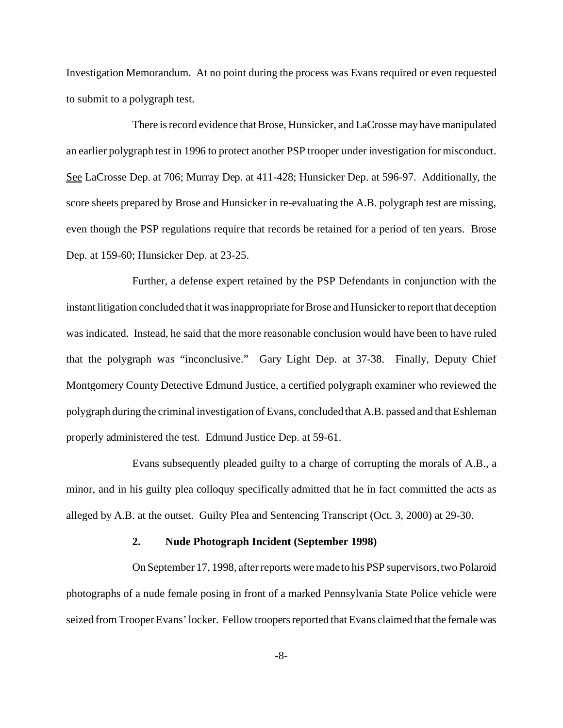Investigation Memorandum. At no point during the process was Evans required or even requested to submit to a polygraph test.

There is record evidence that Brose, Hunsicker, and LaCrosse may have manipulated an earlier polygraph test in 1996 to protect another PSP trooper under investigation for misconduct. See LaCrosse Dep. at 706; Murray Dep. at 411-428; Hunsicker Dep. at 596-97. Additionally, the score sheets prepared by Brose and Hunsicker in re-evaluating the A.B. polygraph test are missing, even though the PSP regulations require that records be retained for a period of ten years. Brose Dep. at 159-60; Hunsicker Dep. at 23-25.

Further, a defense expert retained by the PSP Defendants in conjunction with the instant litigation concluded that it was inappropriate for Brose and Hunsicker to report that deception was indicated. Instead, he said that the more reasonable conclusion would have been to have ruled that the polygraph was "inconclusive." Gary Light Dep. at 37-38. Finally, Deputy Chief Montgomery County Detective Edmund Justice, a certified polygraph examiner who reviewed the polygraph during the criminal investigation of Evans, concluded that A.B. passed and that Eshleman properly administered the test. Edmund Justice Dep. at 59-61.

Evans subsequently pleaded guilty to a charge of corrupting the morals of A.B., a minor, and in his guilty plea colloquy specifically admitted that he in fact committed the acts as alleged by A.B. at the outset. Guilty Plea and Sentencing Transcript (Oct. 3, 2000) at 29-30.

#### **2. Nude Photograph Incident (September 1998)**

On September 17, 1998, after reports were made to his PSP supervisors, two Polaroid photographs of a nude female posing in front of a marked Pennsylvania State Police vehicle were seized from Trooper Evans' locker. Fellow troopers reported that Evans claimed that the female was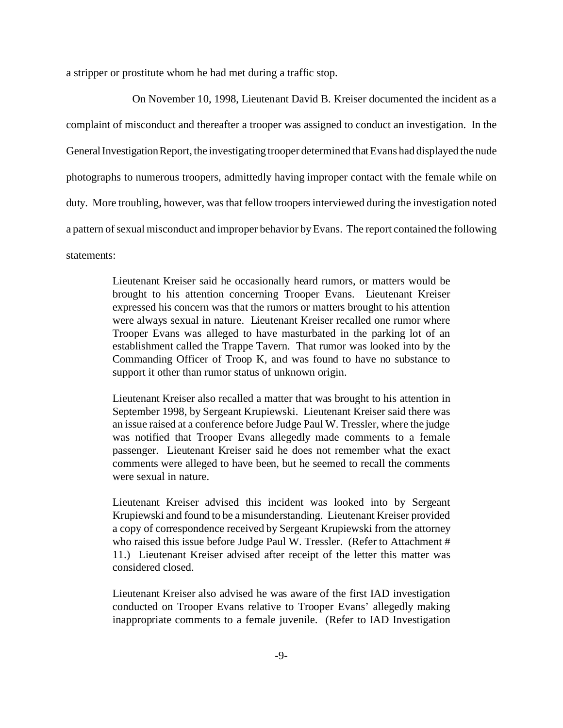a stripper or prostitute whom he had met during a traffic stop.

On November 10, 1998, Lieutenant David B. Kreiser documented the incident as a complaint of misconduct and thereafter a trooper was assigned to conduct an investigation. In the General Investigation Report, the investigating trooper determined that Evans had displayed the nude photographs to numerous troopers, admittedly having improper contact with the female while on duty. More troubling, however, was that fellow troopers interviewed during the investigation noted a pattern of sexual misconduct and improper behavior by Evans. The report contained the following statements:

> Lieutenant Kreiser said he occasionally heard rumors, or matters would be brought to his attention concerning Trooper Evans. Lieutenant Kreiser expressed his concern was that the rumors or matters brought to his attention were always sexual in nature. Lieutenant Kreiser recalled one rumor where Trooper Evans was alleged to have masturbated in the parking lot of an establishment called the Trappe Tavern. That rumor was looked into by the Commanding Officer of Troop K, and was found to have no substance to support it other than rumor status of unknown origin.

> Lieutenant Kreiser also recalled a matter that was brought to his attention in September 1998, by Sergeant Krupiewski. Lieutenant Kreiser said there was an issue raised at a conference before Judge Paul W. Tressler, where the judge was notified that Trooper Evans allegedly made comments to a female passenger. Lieutenant Kreiser said he does not remember what the exact comments were alleged to have been, but he seemed to recall the comments were sexual in nature.

> Lieutenant Kreiser advised this incident was looked into by Sergeant Krupiewski and found to be a misunderstanding. Lieutenant Kreiser provided a copy of correspondence received by Sergeant Krupiewski from the attorney who raised this issue before Judge Paul W. Tressler. (Refer to Attachment # 11.) Lieutenant Kreiser advised after receipt of the letter this matter was considered closed.

> Lieutenant Kreiser also advised he was aware of the first IAD investigation conducted on Trooper Evans relative to Trooper Evans' allegedly making inappropriate comments to a female juvenile. (Refer to IAD Investigation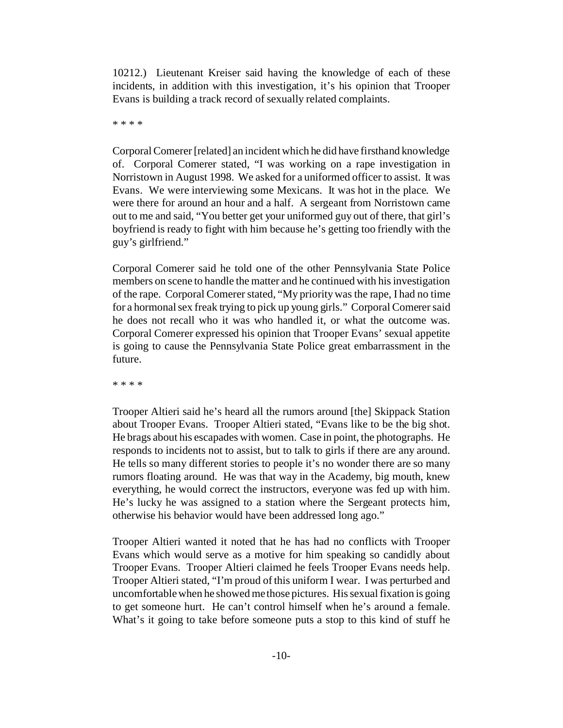10212.) Lieutenant Kreiser said having the knowledge of each of these incidents, in addition with this investigation, it's his opinion that Trooper Evans is building a track record of sexually related complaints.

\* \* \* \*

Corporal Comerer [related] an incident which he did have firsthand knowledge of. Corporal Comerer stated, "I was working on a rape investigation in Norristown in August 1998. We asked for a uniformed officer to assist. It was Evans. We were interviewing some Mexicans. It was hot in the place. We were there for around an hour and a half. A sergeant from Norristown came out to me and said, "You better get your uniformed guy out of there, that girl's boyfriend is ready to fight with him because he's getting too friendly with the guy's girlfriend."

Corporal Comerer said he told one of the other Pennsylvania State Police members on scene to handle the matter and he continued with his investigation of the rape. Corporal Comerer stated, "My priority was the rape, I had no time for a hormonal sex freak trying to pick up young girls." Corporal Comerer said he does not recall who it was who handled it, or what the outcome was. Corporal Comerer expressed his opinion that Trooper Evans' sexual appetite is going to cause the Pennsylvania State Police great embarrassment in the future.

\* \* \* \*

Trooper Altieri said he's heard all the rumors around [the] Skippack Station about Trooper Evans. Trooper Altieri stated, "Evans like to be the big shot. He brags about his escapades with women. Case in point, the photographs. He responds to incidents not to assist, but to talk to girls if there are any around. He tells so many different stories to people it's no wonder there are so many rumors floating around. He was that way in the Academy, big mouth, knew everything, he would correct the instructors, everyone was fed up with him. He's lucky he was assigned to a station where the Sergeant protects him, otherwise his behavior would have been addressed long ago."

Trooper Altieri wanted it noted that he has had no conflicts with Trooper Evans which would serve as a motive for him speaking so candidly about Trooper Evans. Trooper Altieri claimed he feels Trooper Evans needs help. Trooper Altieri stated, "I'm proud of this uniform I wear. I was perturbed and uncomfortable when he showed me those pictures. His sexual fixation is going to get someone hurt. He can't control himself when he's around a female. What's it going to take before someone puts a stop to this kind of stuff he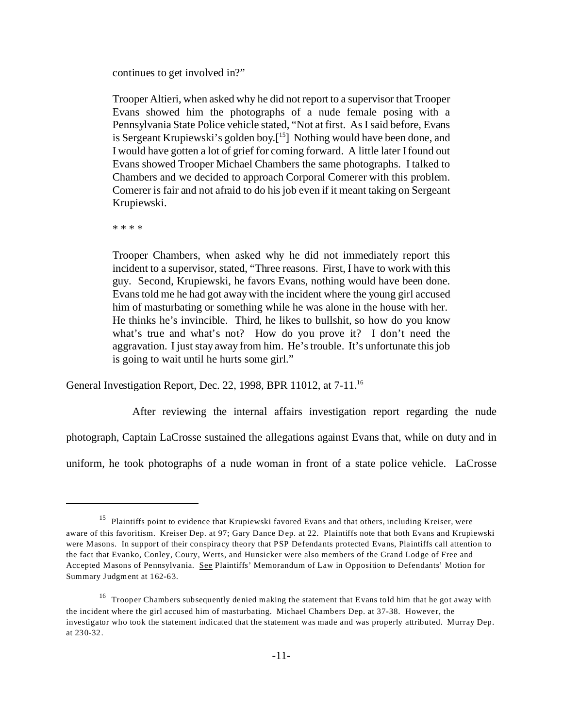continues to get involved in?"

Trooper Altieri, when asked why he did not report to a supervisor that Trooper Evans showed him the photographs of a nude female posing with a Pennsylvania State Police vehicle stated, "Not at first. As I said before, Evans is Sergeant Krupiewski's golden boy.<sup>[15]</sup> Nothing would have been done, and I would have gotten a lot of grief for coming forward. A little later I found out Evans showed Trooper Michael Chambers the same photographs. I talked to Chambers and we decided to approach Corporal Comerer with this problem. Comerer is fair and not afraid to do his job even if it meant taking on Sergeant Krupiewski.

\* \* \* \*

Trooper Chambers, when asked why he did not immediately report this incident to a supervisor, stated, "Three reasons. First, I have to work with this guy. Second, Krupiewski, he favors Evans, nothing would have been done. Evans told me he had got away with the incident where the young girl accused him of masturbating or something while he was alone in the house with her. He thinks he's invincible. Third, he likes to bullshit, so how do you know what's true and what's not? How do you prove it? I don't need the aggravation. I just stay away from him. He's trouble. It's unfortunate this job is going to wait until he hurts some girl."

General Investigation Report, Dec. 22, 1998, BPR 11012, at 7-11.<sup>16</sup>

After reviewing the internal affairs investigation report regarding the nude photograph, Captain LaCrosse sustained the allegations against Evans that, while on duty and in uniform, he took photographs of a nude woman in front of a state police vehicle. LaCrosse

<sup>&</sup>lt;sup>15</sup> Plaintiffs point to evidence that Krupiewski favored Evans and that others, including Kreiser, were aware of this favoritism. Kreiser Dep. at 97; Gary Dance Dep. at 22. Plaintiffs note that both Evans and Krupiewski were Masons. In support of their conspiracy theory that PSP Defendants protected Evans, Plaintiffs call attention to the fact that Evanko, Conley, Coury, Werts, and Hunsicker were also members of the Grand Lodge of Free and Accepted Masons of Pennsylvania. See Plaintiffs' Memorandum of Law in Opposition to Defendants' Motion for Summary Judgment at 162-63.

<sup>&</sup>lt;sup>16</sup> Trooper Chambers subsequently denied making the statement that Evans told him that he got away with the incident where the girl accused him of masturbating. Michael Chambers Dep. at 37-38. However, the investigator who took the statement indicated that the statement was made and was properly attributed. Murray Dep. at 230-32.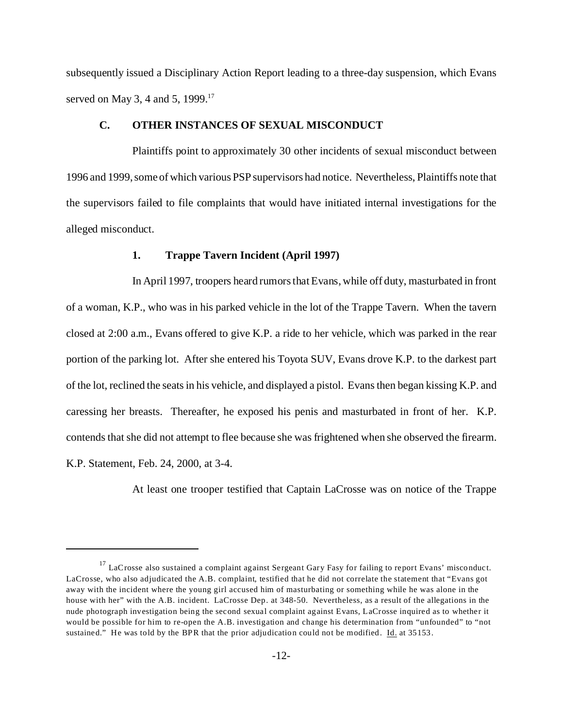subsequently issued a Disciplinary Action Report leading to a three-day suspension, which Evans served on May 3, 4 and 5, 1999.<sup>17</sup>

#### **C. OTHER INSTANCES OF SEXUAL MISCONDUCT**

Plaintiffs point to approximately 30 other incidents of sexual misconduct between 1996 and 1999, some of which various PSP supervisors had notice. Nevertheless, Plaintiffs note that the supervisors failed to file complaints that would have initiated internal investigations for the alleged misconduct.

#### **1. Trappe Tavern Incident (April 1997)**

In April 1997, troopers heard rumors that Evans, while off duty, masturbated in front of a woman, K.P., who was in his parked vehicle in the lot of the Trappe Tavern. When the tavern closed at 2:00 a.m., Evans offered to give K.P. a ride to her vehicle, which was parked in the rear portion of the parking lot. After she entered his Toyota SUV, Evans drove K.P. to the darkest part of the lot, reclined the seats in his vehicle, and displayed a pistol. Evans then began kissing K.P. and caressing her breasts. Thereafter, he exposed his penis and masturbated in front of her. K.P. contends that she did not attempt to flee because she was frightened when she observed the firearm. K.P. Statement, Feb. 24, 2000, at 3-4.

At least one trooper testified that Captain LaCrosse was on notice of the Trappe

 $17$  LaCrosse also sustained a complaint against Sergeant Gary Fasy for failing to report Evans' misconduct. LaCrosse, who also adjudicated the A.B. complaint, testified that he did not correlate the statement that "Evans got away with the incident where the young girl accused him of masturbating or something while he was alone in the house with her" with the A.B. incident. LaCrosse Dep. at 348-50. Nevertheless, as a result of the allegations in the nude photograph investigation being the second sexual complaint against Evans, LaCrosse inquired as to whether it would be possible for him to re-open the A.B. investigation and change his determination from "unfounded" to "not sustained." He was told by the BPR that the prior adjudication could not be modified. Id. at 35153.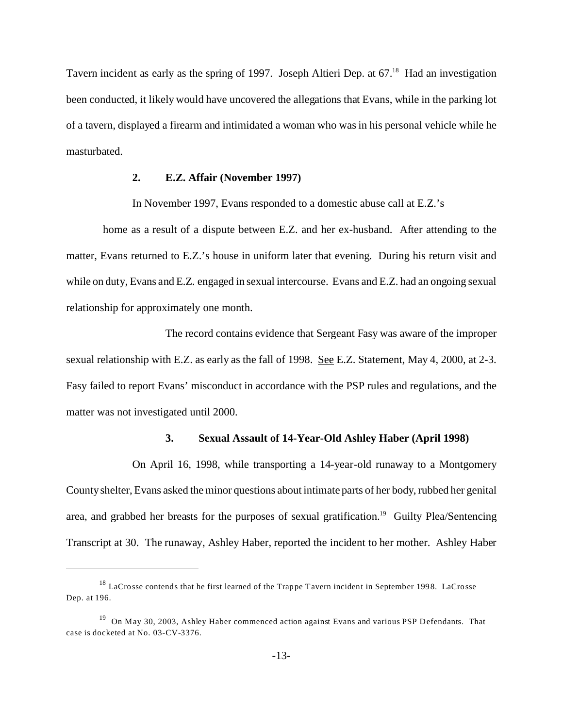Tavern incident as early as the spring of 1997. Joseph Altieri Dep. at 67.<sup>18</sup> Had an investigation been conducted, it likely would have uncovered the allegations that Evans, while in the parking lot of a tavern, displayed a firearm and intimidated a woman who was in his personal vehicle while he masturbated.

### **2. E.Z. Affair (November 1997)**

In November 1997, Evans responded to a domestic abuse call at E.Z.'s

 home as a result of a dispute between E.Z. and her ex-husband. After attending to the matter, Evans returned to E.Z.'s house in uniform later that evening. During his return visit and while on duty, Evans and E.Z. engaged in sexual intercourse. Evans and E.Z. had an ongoing sexual relationship for approximately one month.

The record contains evidence that Sergeant Fasy was aware of the improper sexual relationship with E.Z. as early as the fall of 1998. See E.Z. Statement, May 4, 2000, at 2-3. Fasy failed to report Evans' misconduct in accordance with the PSP rules and regulations, and the matter was not investigated until 2000.

#### **3. Sexual Assault of 14-Year-Old Ashley Haber (April 1998)**

On April 16, 1998, while transporting a 14-year-old runaway to a Montgomery County shelter, Evans asked the minor questions about intimate parts of her body, rubbed her genital area, and grabbed her breasts for the purposes of sexual gratification.<sup>19</sup> Guilty Plea/Sentencing Transcript at 30. The runaway, Ashley Haber, reported the incident to her mother. Ashley Haber

<sup>18</sup> LaCrosse contends that he first learned of the Trappe Tavern incident in September 1998. LaCrosse Dep. at 196.

<sup>&</sup>lt;sup>19</sup> On May 30, 2003, Ashley Haber commenced action against Evans and various PSP Defendants. That case is docketed at No. 03-CV-3376.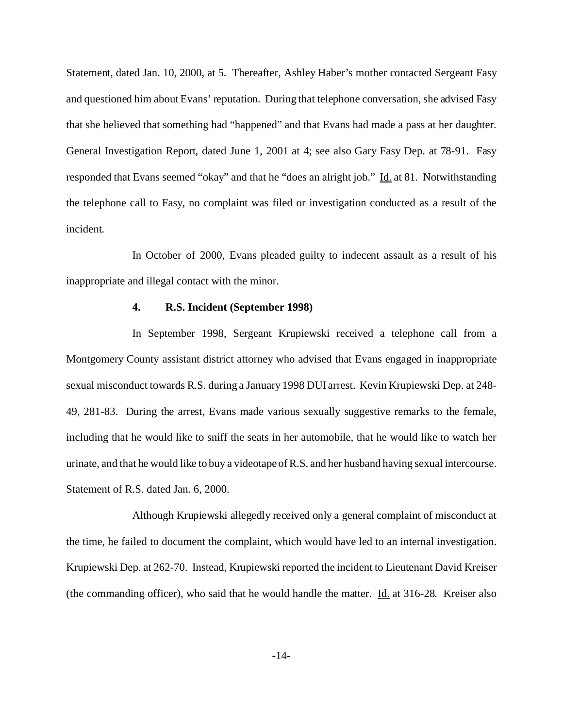Statement, dated Jan. 10, 2000, at 5. Thereafter, Ashley Haber's mother contacted Sergeant Fasy and questioned him about Evans' reputation. During that telephone conversation, she advised Fasy that she believed that something had "happened" and that Evans had made a pass at her daughter. General Investigation Report, dated June 1, 2001 at 4; see also Gary Fasy Dep. at 78-91. Fasy responded that Evans seemed "okay" and that he "does an alright job." Id. at 81. Notwithstanding the telephone call to Fasy, no complaint was filed or investigation conducted as a result of the incident.

In October of 2000, Evans pleaded guilty to indecent assault as a result of his inappropriate and illegal contact with the minor.

#### **4. R.S. Incident (September 1998)**

In September 1998, Sergeant Krupiewski received a telephone call from a Montgomery County assistant district attorney who advised that Evans engaged in inappropriate sexual misconduct towards R.S. during a January 1998 DUI arrest. Kevin Krupiewski Dep. at 248- 49, 281-83. During the arrest, Evans made various sexually suggestive remarks to the female, including that he would like to sniff the seats in her automobile, that he would like to watch her urinate, and that he would like to buy a videotape of R.S. and her husband having sexual intercourse. Statement of R.S. dated Jan. 6, 2000.

Although Krupiewski allegedly received only a general complaint of misconduct at the time, he failed to document the complaint, which would have led to an internal investigation. Krupiewski Dep. at 262-70. Instead, Krupiewski reported the incident to Lieutenant David Kreiser (the commanding officer), who said that he would handle the matter.  $\underline{Id}$  at 316-28. Kreiser also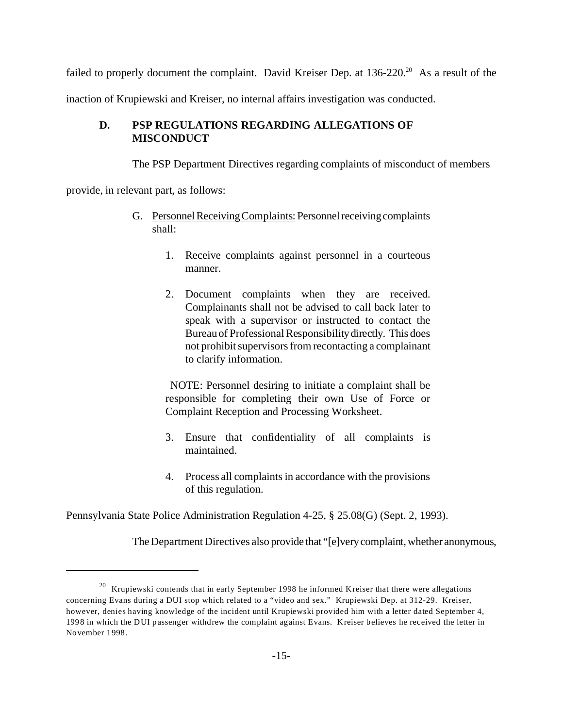failed to properly document the complaint. David Kreiser Dep. at 136-220.<sup>20</sup> As a result of the

inaction of Krupiewski and Kreiser, no internal affairs investigation was conducted.

# **D. PSP REGULATIONS REGARDING ALLEGATIONS OF MISCONDUCT**

The PSP Department Directives regarding complaints of misconduct of members

provide, in relevant part, as follows:

- G. Personnel Receiving Complaints: Personnel receiving complaints shall:
	- 1. Receive complaints against personnel in a courteous manner.
	- 2. Document complaints when they are received. Complainants shall not be advised to call back later to speak with a supervisor or instructed to contact the Bureau of Professional Responsibilitydirectly. This does not prohibit supervisors from recontacting a complainant to clarify information.

 NOTE: Personnel desiring to initiate a complaint shall be responsible for completing their own Use of Force or Complaint Reception and Processing Worksheet.

- 3. Ensure that confidentiality of all complaints is maintained.
- 4. Process all complaints in accordance with the provisions of this regulation.

Pennsylvania State Police Administration Regulation 4-25, § 25.08(G) (Sept. 2, 1993).

The Department Directives also provide that "[e]very complaint, whether anonymous,

 $20$  Krupiewski contends that in early September 1998 he informed Kreiser that there were allegations concerning Evans during a DUI stop which related to a "video and sex." Krupiewski Dep. at 312-29. Kreiser, however, denies having knowledge of the incident until Krupiewski provided him with a letter dated September 4, 1998 in which the DUI passenger withdrew the complaint against Evans. Kreiser believes he received the letter in November 1998.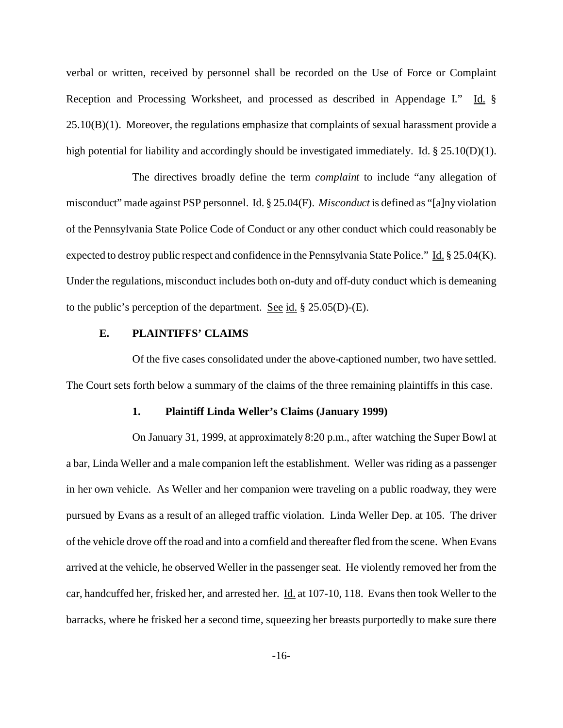verbal or written, received by personnel shall be recorded on the Use of Force or Complaint Reception and Processing Worksheet, and processed as described in Appendage I." Id. §  $25.10(B)(1)$ . Moreover, the regulations emphasize that complaints of sexual harassment provide a high potential for liability and accordingly should be investigated immediately. Id. § 25.10(D)(1).

The directives broadly define the term *complaint* to include "any allegation of misconduct" made against PSP personnel. Id. § 25.04(F). *Misconduct* is defined as "[a]ny violation of the Pennsylvania State Police Code of Conduct or any other conduct which could reasonably be expected to destroy public respect and confidence in the Pennsylvania State Police." Id. § 25.04(K). Under the regulations, misconduct includes both on-duty and off-duty conduct which is demeaning to the public's perception of the department. See id.  $\S 25.05(D)$ -(E).

# **E. PLAINTIFFS' CLAIMS**

Of the five cases consolidated under the above-captioned number, two have settled. The Court sets forth below a summary of the claims of the three remaining plaintiffs in this case.

#### **1. Plaintiff Linda Weller's Claims (January 1999)**

On January 31, 1999, at approximately 8:20 p.m., after watching the Super Bowl at a bar, Linda Weller and a male companion left the establishment. Weller was riding as a passenger in her own vehicle. As Weller and her companion were traveling on a public roadway, they were pursued by Evans as a result of an alleged traffic violation. Linda Weller Dep. at 105. The driver of the vehicle drove off the road and into a cornfield and thereafter fled from the scene. When Evans arrived at the vehicle, he observed Weller in the passenger seat. He violently removed her from the car, handcuffed her, frisked her, and arrested her. Id. at 107-10, 118. Evans then took Weller to the barracks, where he frisked her a second time, squeezing her breasts purportedly to make sure there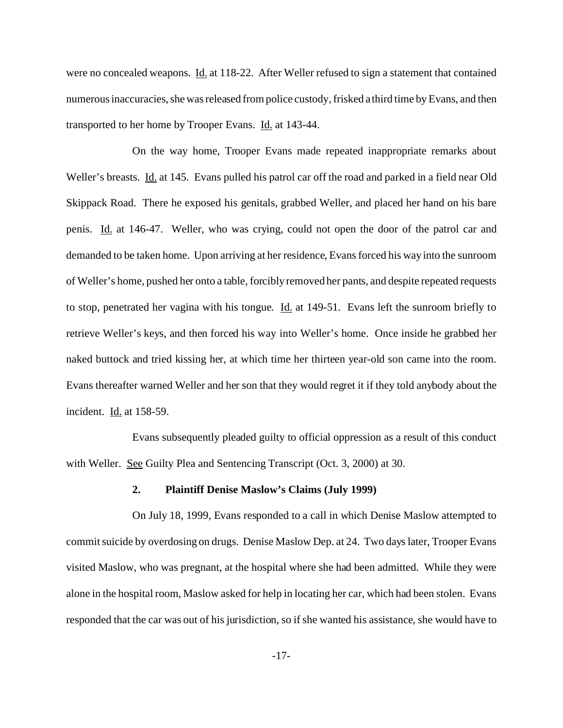were no concealed weapons. Id. at 118-22. After Weller refused to sign a statement that contained numerous inaccuracies, she was released from police custody, frisked a third time by Evans, and then transported to her home by Trooper Evans. Id. at 143-44.

On the way home, Trooper Evans made repeated inappropriate remarks about Weller's breasts. Id. at 145. Evans pulled his patrol car off the road and parked in a field near Old Skippack Road. There he exposed his genitals, grabbed Weller, and placed her hand on his bare penis. Id. at 146-47. Weller, who was crying, could not open the door of the patrol car and demanded to be taken home. Upon arriving at her residence, Evans forced his way into the sunroom of Weller's home, pushed her onto a table, forcibly removed her pants, and despite repeated requests to stop, penetrated her vagina with his tongue. Id. at 149-51. Evans left the sunroom briefly to retrieve Weller's keys, and then forced his way into Weller's home. Once inside he grabbed her naked buttock and tried kissing her, at which time her thirteen year-old son came into the room. Evans thereafter warned Weller and her son that they would regret it if they told anybody about the incident. Id. at 158-59.

Evans subsequently pleaded guilty to official oppression as a result of this conduct with Weller. See Guilty Plea and Sentencing Transcript (Oct. 3, 2000) at 30.

#### **2. Plaintiff Denise Maslow's Claims (July 1999)**

On July 18, 1999, Evans responded to a call in which Denise Maslow attempted to commit suicide by overdosing on drugs. Denise Maslow Dep. at 24. Two days later, Trooper Evans visited Maslow, who was pregnant, at the hospital where she had been admitted. While they were alone in the hospital room, Maslow asked for help in locating her car, which had been stolen. Evans responded that the car was out of his jurisdiction, so if she wanted his assistance, she would have to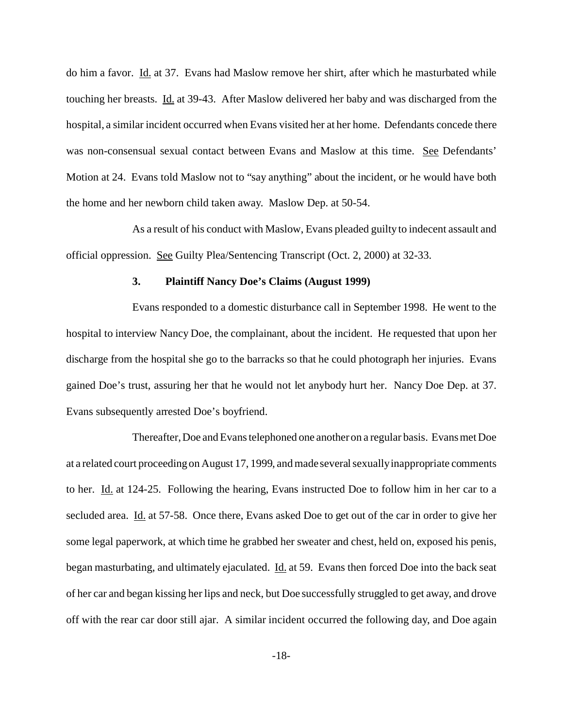do him a favor. Id. at 37. Evans had Maslow remove her shirt, after which he masturbated while touching her breasts. Id. at 39-43. After Maslow delivered her baby and was discharged from the hospital, a similar incident occurred when Evans visited her at her home. Defendants concede there was non-consensual sexual contact between Evans and Maslow at this time. See Defendants' Motion at 24. Evans told Maslow not to "say anything" about the incident, or he would have both the home and her newborn child taken away. Maslow Dep. at 50-54.

As a result of his conduct with Maslow, Evans pleaded guilty to indecent assault and official oppression. See Guilty Plea/Sentencing Transcript (Oct. 2, 2000) at 32-33.

## **3. Plaintiff Nancy Doe's Claims (August 1999)**

Evans responded to a domestic disturbance call in September 1998. He went to the hospital to interview Nancy Doe, the complainant, about the incident. He requested that upon her discharge from the hospital she go to the barracks so that he could photograph her injuries. Evans gained Doe's trust, assuring her that he would not let anybody hurt her. Nancy Doe Dep. at 37. Evans subsequently arrested Doe's boyfriend.

Thereafter, Doe and Evans telephoned one another on a regular basis. Evans met Doe at a related court proceeding on August 17, 1999, and made several sexually inappropriate comments to her. Id. at 124-25. Following the hearing, Evans instructed Doe to follow him in her car to a secluded area. Id. at 57-58. Once there, Evans asked Doe to get out of the car in order to give her some legal paperwork, at which time he grabbed her sweater and chest, held on, exposed his penis, began masturbating, and ultimately ejaculated. Id. at 59. Evans then forced Doe into the back seat of her car and began kissing her lips and neck, but Doe successfully struggled to get away, and drove off with the rear car door still ajar. A similar incident occurred the following day, and Doe again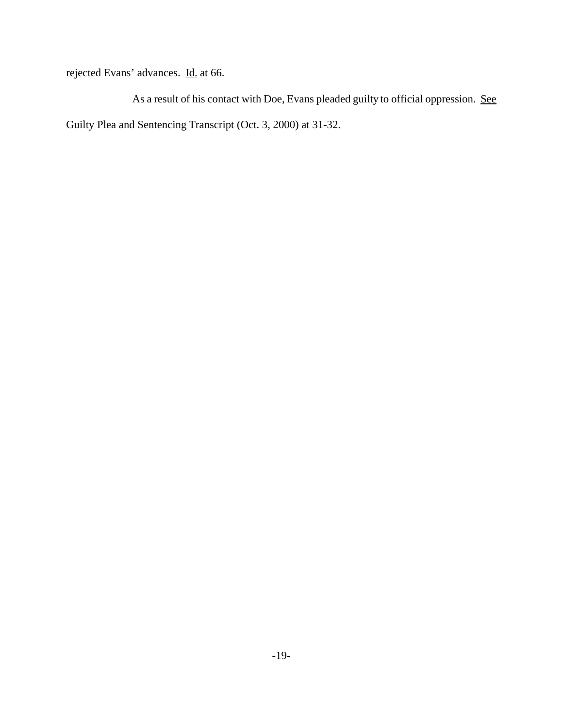rejected Evans' advances. Id. at 66.

As a result of his contact with Doe, Evans pleaded guilty to official oppression. See Guilty Plea and Sentencing Transcript (Oct. 3, 2000) at 31-32.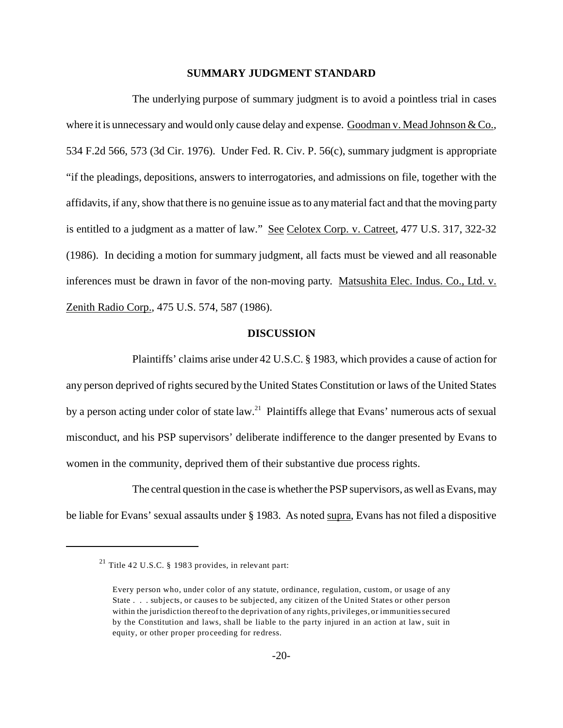#### **SUMMARY JUDGMENT STANDARD**

The underlying purpose of summary judgment is to avoid a pointless trial in cases where it is unnecessary and would only cause delay and expense. Goodman v. Mead Johnson & Co., 534 F.2d 566, 573 (3d Cir. 1976). Under Fed. R. Civ. P. 56(c), summary judgment is appropriate "if the pleadings, depositions, answers to interrogatories, and admissions on file, together with the affidavits, if any, show that there is no genuine issue as to any material fact and that the moving party is entitled to a judgment as a matter of law." See Celotex Corp. v. Catreet, 477 U.S. 317, 322-32 (1986). In deciding a motion for summary judgment, all facts must be viewed and all reasonable inferences must be drawn in favor of the non-moving party. Matsushita Elec. Indus. Co., Ltd. v. Zenith Radio Corp., 475 U.S. 574, 587 (1986).

## **DISCUSSION**

Plaintiffs' claims arise under 42 U.S.C. § 1983, which provides a cause of action for any person deprived of rights secured by the United States Constitution or laws of the United States by a person acting under color of state law.<sup>21</sup> Plaintiffs allege that Evans' numerous acts of sexual misconduct, and his PSP supervisors' deliberate indifference to the danger presented by Evans to women in the community, deprived them of their substantive due process rights.

The central question in the case is whether the PSP supervisors, as well as Evans, may be liable for Evans' sexual assaults under § 1983. As noted supra, Evans has not filed a dispositive

<sup>&</sup>lt;sup>21</sup> Title 42 U.S.C. § 1983 provides, in relevant part:

Every person who, under color of any statute, ordinance, regulation, custom, or usage of any State . . . subjects, or causes to be subjected, any citizen of the United States or other person within the jurisdiction thereof to the deprivation of any rights, privileges, or immunities secured by the Constitution and laws, shall be liable to the party injured in an action at law, suit in equity, or other proper proceeding for redress.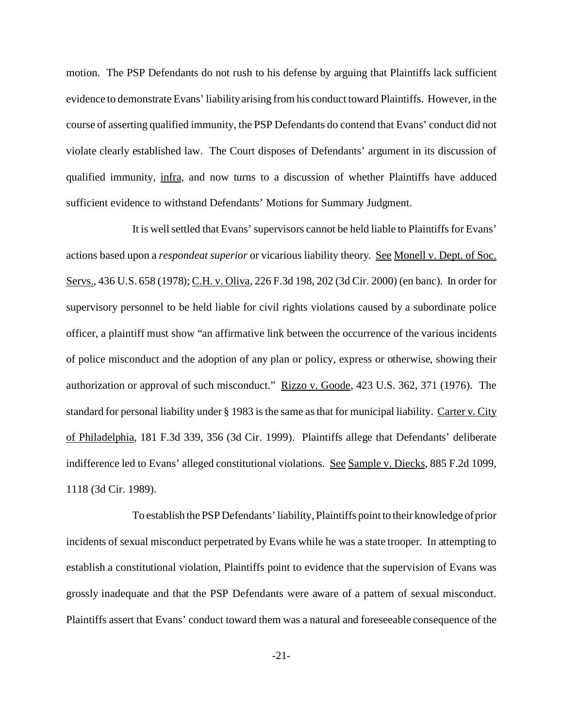motion. The PSP Defendants do not rush to his defense by arguing that Plaintiffs lack sufficient evidence to demonstrate Evans' liability arising from his conduct toward Plaintiffs. However, in the course of asserting qualified immunity, the PSP Defendants do contend that Evans' conduct did not violate clearly established law. The Court disposes of Defendants' argument in its discussion of qualified immunity, infra, and now turns to a discussion of whether Plaintiffs have adduced sufficient evidence to withstand Defendants' Motions for Summary Judgment.

It is well settled that Evans' supervisors cannot be held liable to Plaintiffs for Evans' actions based upon a *respondeat superior* or vicarious liability theory. See Monell v. Dept. of Soc. Servs., 436 U.S. 658 (1978); C.H. v. Oliva, 226 F.3d 198, 202 (3d Cir. 2000) (en banc). In order for supervisory personnel to be held liable for civil rights violations caused by a subordinate police officer, a plaintiff must show "an affirmative link between the occurrence of the various incidents of police misconduct and the adoption of any plan or policy, express or otherwise, showing their authorization or approval of such misconduct." Rizzo v. Goode, 423 U.S. 362, 371 (1976). The standard for personal liability under § 1983 is the same as that for municipal liability. Carter v. City of Philadelphia, 181 F.3d 339, 356 (3d Cir. 1999). Plaintiffs allege that Defendants' deliberate indifference led to Evans' alleged constitutional violations. See Sample v. Diecks, 885 F.2d 1099, 1118 (3d Cir. 1989).

To establish the PSP Defendants' liability, Plaintiffs point to their knowledge of prior incidents of sexual misconduct perpetrated by Evans while he was a state trooper. In attempting to establish a constitutional violation, Plaintiffs point to evidence that the supervision of Evans was grossly inadequate and that the PSP Defendants were aware of a pattern of sexual misconduct. Plaintiffs assert that Evans' conduct toward them was a natural and foreseeable consequence of the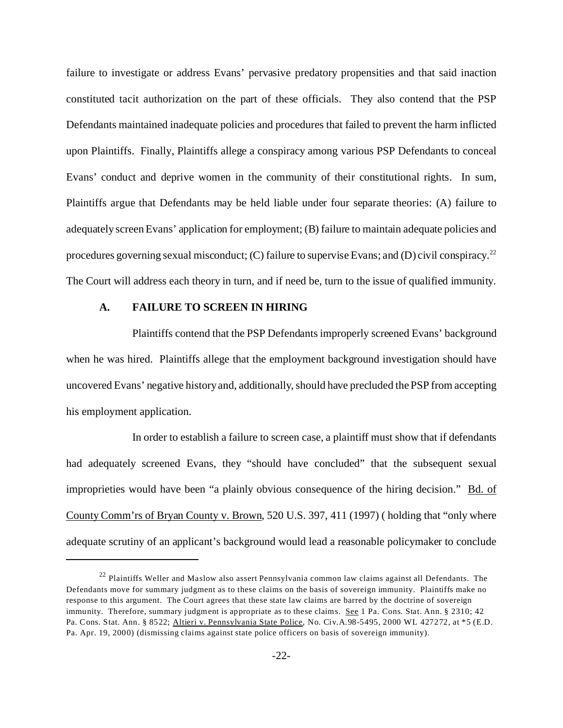failure to investigate or address Evans' pervasive predatory propensities and that said inaction constituted tacit authorization on the part of these officials. They also contend that the PSP Defendants maintained inadequate policies and procedures that failed to prevent the harm inflicted upon Plaintiffs. Finally, Plaintiffs allege a conspiracy among various PSP Defendants to conceal Evans' conduct and deprive women in the community of their constitutional rights. In sum, Plaintiffs argue that Defendants may be held liable under four separate theories: (A) failure to adequately screen Evans' application for employment; (B) failure to maintain adequate policies and procedures governing sexual misconduct; (C) failure to supervise Evans; and (D) civil conspiracy.<sup>22</sup> The Court will address each theory in turn, and if need be, turn to the issue of qualified immunity.

### **A. FAILURE TO SCREEN IN HIRING**

Plaintiffs contend that the PSP Defendants improperly screened Evans' background when he was hired. Plaintiffs allege that the employment background investigation should have uncovered Evans' negative history and, additionally, should have precluded the PSP from accepting his employment application.

In order to establish a failure to screen case, a plaintiff must show that if defendants had adequately screened Evans, they "should have concluded" that the subsequent sexual improprieties would have been "a plainly obvious consequence of the hiring decision." Bd. of County Comm'rs of Bryan County v. Brown, 520 U.S. 397, 411 (1997) ( holding that "only where adequate scrutiny of an applicant's background would lead a reasonable policymaker to conclude

<sup>&</sup>lt;sup>22</sup> Plaintiffs Weller and Maslow also assert Pennsylvania common law claims against all Defendants. The Defendants move for summary judgment as to these claims on the basis of sovereign immunity. Plaintiffs make no response to this argument. The Court agrees that these state law claims are barred by the doctrine of sovereign immunity. Therefore, summary judgment is appropriate as to these claims. See 1 Pa. Cons. Stat. Ann. § 2310; 42 Pa. Cons. Stat. Ann. § 8522; Altieri v. Pennsylvania State Police, No. Civ.A.98-5495, 2000 WL 427272, at \*5 (E.D. Pa. Apr. 19, 2000) (dismissing claims against state police officers on basis of sovereign immunity).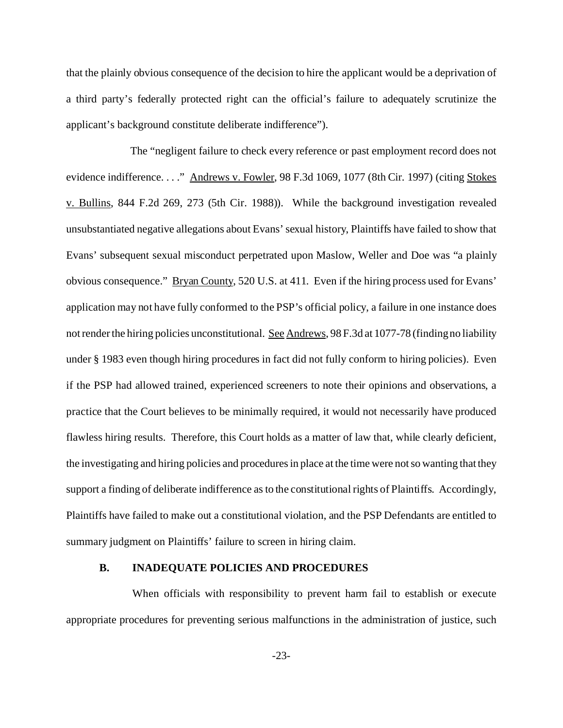that the plainly obvious consequence of the decision to hire the applicant would be a deprivation of a third party's federally protected right can the official's failure to adequately scrutinize the applicant's background constitute deliberate indifference").

 The "negligent failure to check every reference or past employment record does not evidence indifference...." Andrews v. Fowler, 98 F.3d 1069, 1077 (8th Cir. 1997) (citing Stokes v. Bullins, 844 F.2d 269, 273 (5th Cir. 1988)). While the background investigation revealed unsubstantiated negative allegations about Evans' sexual history, Plaintiffs have failed to show that Evans' subsequent sexual misconduct perpetrated upon Maslow, Weller and Doe was "a plainly obvious consequence." Bryan County, 520 U.S. at 411. Even if the hiring process used for Evans' application may not have fully conformed to the PSP's official policy, a failure in one instance does not render the hiring policies unconstitutional. See Andrews, 98 F.3d at 1077-78 (finding no liability under § 1983 even though hiring procedures in fact did not fully conform to hiring policies). Even if the PSP had allowed trained, experienced screeners to note their opinions and observations, a practice that the Court believes to be minimally required, it would not necessarily have produced flawless hiring results. Therefore, this Court holds as a matter of law that, while clearly deficient, the investigating and hiring policies and procedures in place at the time were not so wanting that they support a finding of deliberate indifference as to the constitutional rights of Plaintiffs. Accordingly, Plaintiffs have failed to make out a constitutional violation, and the PSP Defendants are entitled to summary judgment on Plaintiffs' failure to screen in hiring claim.

## **B. INADEQUATE POLICIES AND PROCEDURES**

When officials with responsibility to prevent harm fail to establish or execute appropriate procedures for preventing serious malfunctions in the administration of justice, such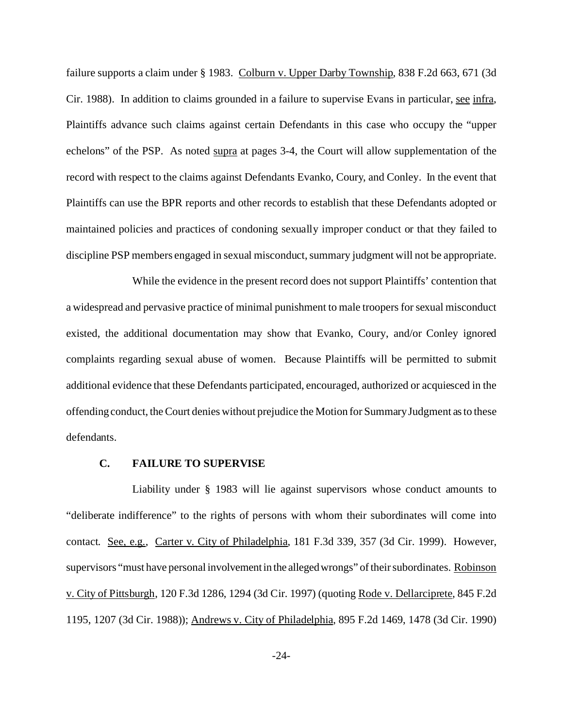failure supports a claim under § 1983. Colburn v. Upper Darby Township, 838 F.2d 663, 671 (3d) Cir. 1988). In addition to claims grounded in a failure to supervise Evans in particular, see infra, Plaintiffs advance such claims against certain Defendants in this case who occupy the "upper echelons" of the PSP. As noted supra at pages 3-4, the Court will allow supplementation of the record with respect to the claims against Defendants Evanko, Coury, and Conley. In the event that Plaintiffs can use the BPR reports and other records to establish that these Defendants adopted or maintained policies and practices of condoning sexually improper conduct or that they failed to discipline PSP members engaged in sexual misconduct, summary judgment will not be appropriate.

While the evidence in the present record does not support Plaintiffs' contention that a widespread and pervasive practice of minimal punishment to male troopers for sexual misconduct existed, the additional documentation may show that Evanko, Coury, and/or Conley ignored complaints regarding sexual abuse of women. Because Plaintiffs will be permitted to submit additional evidence that these Defendants participated, encouraged, authorized or acquiesced in the offending conduct, the Court denies without prejudice the Motion for Summary Judgment as to these defendants.

#### **C. FAILURE TO SUPERVISE**

Liability under § 1983 will lie against supervisors whose conduct amounts to "deliberate indifference" to the rights of persons with whom their subordinates will come into contact. See, e.g., Carter v. City of Philadelphia, 181 F.3d 339, 357 (3d Cir. 1999). However, supervisors "must have personal involvementin the alleged wrongs" of their subordinates. Robinson v. City of Pittsburgh, 120 F.3d 1286, 1294 (3d Cir. 1997) (quoting Rode v. Dellarciprete, 845 F.2d 1195, 1207 (3d Cir. 1988)); Andrews v. City of Philadelphia, 895 F.2d 1469, 1478 (3d Cir. 1990)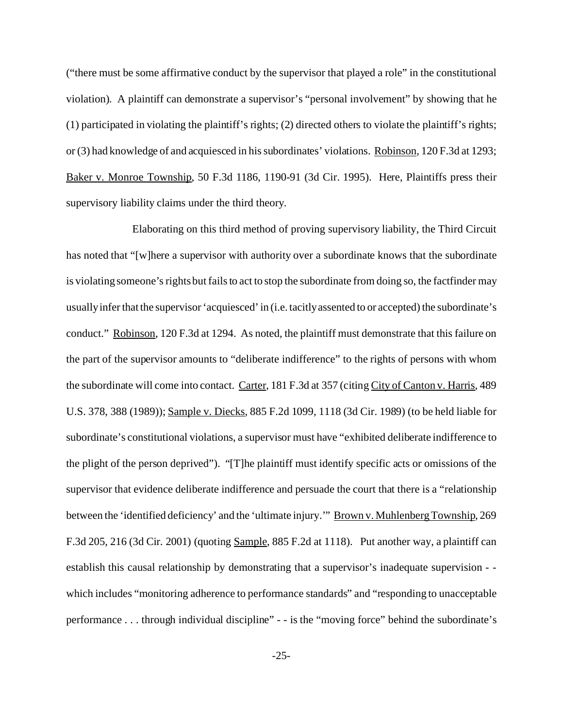("there must be some affirmative conduct by the supervisor that played a role" in the constitutional violation). A plaintiff can demonstrate a supervisor's "personal involvement" by showing that he (1) participated in violating the plaintiff's rights; (2) directed others to violate the plaintiff's rights; or (3) had knowledge of and acquiesced in his subordinates' violations. Robinson, 120 F.3d at 1293; Baker v. Monroe Township, 50 F.3d 1186, 1190-91 (3d Cir. 1995). Here, Plaintiffs press their supervisory liability claims under the third theory.

Elaborating on this third method of proving supervisory liability, the Third Circuit has noted that "[w]here a supervisor with authority over a subordinate knows that the subordinate is violating someone's rights but fails to act to stop the subordinate from doing so, the factfinder may usually infer that the supervisor 'acquiesced' in (i.e. tacitly assented to or accepted) the subordinate's conduct." Robinson, 120 F.3d at 1294. As noted, the plaintiff must demonstrate that this failure on the part of the supervisor amounts to "deliberate indifference" to the rights of persons with whom the subordinate will come into contact. Carter, 181 F.3d at 357 (citing City of Canton v. Harris, 489 U.S. 378, 388 (1989)); Sample v. Diecks, 885 F.2d 1099, 1118 (3d Cir. 1989) (to be held liable for subordinate's constitutional violations, a supervisor must have "exhibited deliberate indifference to the plight of the person deprived"). "[T]he plaintiff must identify specific acts or omissions of the supervisor that evidence deliberate indifference and persuade the court that there is a "relationship between the 'identified deficiency' and the 'ultimate injury.'" Brown v. Muhlenberg Township, 269 F.3d 205, 216 (3d Cir. 2001) (quoting Sample, 885 F.2d at 1118). Put another way, a plaintiff can establish this causal relationship by demonstrating that a supervisor's inadequate supervision - which includes "monitoring adherence to performance standards" and "responding to unacceptable performance . . . through individual discipline" - - is the "moving force" behind the subordinate's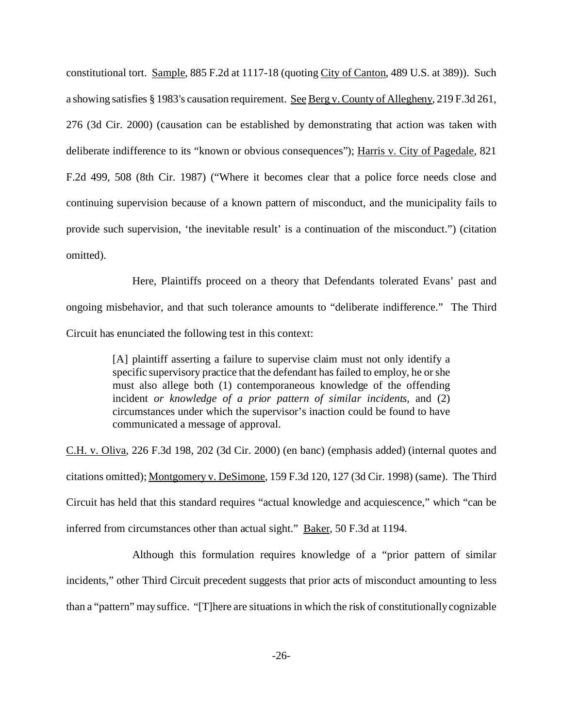constitutional tort. Sample, 885 F.2d at 1117-18 (quoting City of Canton, 489 U.S. at 389)). Such a showing satisfies § 1983's causation requirement. See Berg v. County of Allegheny, 219 F.3d 261, 276 (3d Cir. 2000) (causation can be established by demonstrating that action was taken with deliberate indifference to its "known or obvious consequences"); Harris v. City of Pagedale, 821 F.2d 499, 508 (8th Cir. 1987) ("Where it becomes clear that a police force needs close and continuing supervision because of a known pattern of misconduct, and the municipality fails to provide such supervision, 'the inevitable result' is a continuation of the misconduct.") (citation omitted).

Here, Plaintiffs proceed on a theory that Defendants tolerated Evans' past and ongoing misbehavior, and that such tolerance amounts to "deliberate indifference." The Third Circuit has enunciated the following test in this context:

> [A] plaintiff asserting a failure to supervise claim must not only identify a specific supervisory practice that the defendant has failed to employ, he or she must also allege both (1) contemporaneous knowledge of the offending incident *or knowledge of a prior pattern of similar incidents*, and (2) circumstances under which the supervisor's inaction could be found to have communicated a message of approval.

C.H. v. Oliva, 226 F.3d 198, 202 (3d Cir. 2000) (en banc) (emphasis added) (internal quotes and citations omitted); Montgomery v. DeSimone, 159 F.3d 120, 127 (3d Cir. 1998) (same). The Third Circuit has held that this standard requires "actual knowledge and acquiescence," which "can be inferred from circumstances other than actual sight." Baker, 50 F.3d at 1194.

Although this formulation requires knowledge of a "prior pattern of similar incidents," other Third Circuit precedent suggests that prior acts of misconduct amounting to less than a "pattern" may suffice. "[T]here are situations in which the risk of constitutionally cognizable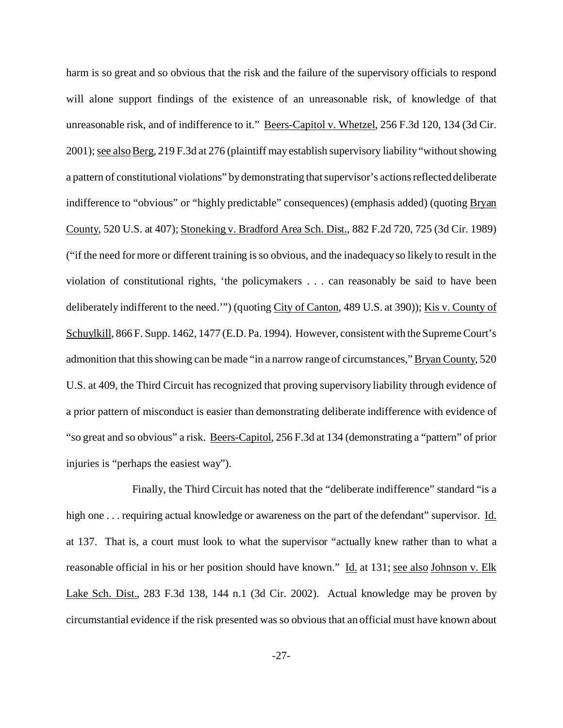harm is so great and so obvious that the risk and the failure of the supervisory officials to respond will alone support findings of the existence of an unreasonable risk, of knowledge of that unreasonable risk, and of indifference to it." Beers-Capitol v. Whetzel, 256 F.3d 120, 134 (3d Cir. 2001); see also Berg, 219 F.3d at 276 (plaintiff may establish supervisory liability "without showing a pattern of constitutional violations" by demonstrating that supervisor's actions reflected deliberate indifference to "obvious" or "highly predictable" consequences) (emphasis added) (quoting Bryan County, 520 U.S. at 407); Stoneking v. Bradford Area Sch. Dist., 882 F.2d 720, 725 (3d Cir. 1989) ("if the need for more or different training is so obvious, and the inadequacy so likely to result in the violation of constitutional rights, 'the policymakers . . . can reasonably be said to have been deliberately indifferent to the need."") (quoting City of Canton, 489 U.S. at 390)); Kis v. County of Schuylkill, 866 F. Supp. 1462, 1477 (E.D. Pa. 1994). However, consistent with the Supreme Court's admonition that this showing can be made "in a narrow range of circumstances," Bryan County, 520 U.S. at 409, the Third Circuit has recognized that proving supervisory liability through evidence of a prior pattern of misconduct is easier than demonstrating deliberate indifference with evidence of "so great and so obvious" a risk. Beers-Capitol, 256 F.3d at 134 (demonstrating a "pattern" of prior injuries is "perhaps the easiest way").

Finally, the Third Circuit has noted that the "deliberate indifference" standard "is a high one . . . requiring actual knowledge or awareness on the part of the defendant" supervisor. Id. at 137. That is, a court must look to what the supervisor "actually knew rather than to what a reasonable official in his or her position should have known." Id. at 131; see also Johnson v. Elk Lake Sch. Dist., 283 F.3d 138, 144 n.1 (3d Cir. 2002). Actual knowledge may be proven by circumstantial evidence if the risk presented was so obvious that an official must have known about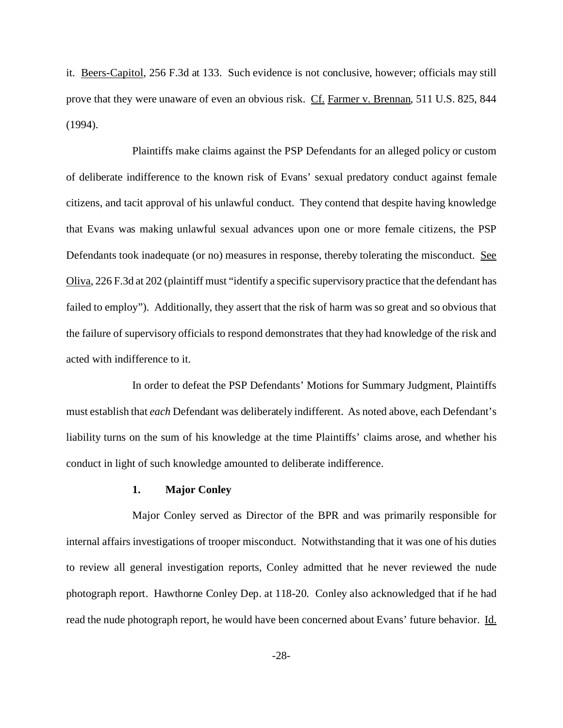it. Beers-Capitol, 256 F.3d at 133. Such evidence is not conclusive, however; officials may still prove that they were unaware of even an obvious risk. Cf. Farmer v. Brennan, 511 U.S. 825, 844 (1994).

Plaintiffs make claims against the PSP Defendants for an alleged policy or custom of deliberate indifference to the known risk of Evans' sexual predatory conduct against female citizens, and tacit approval of his unlawful conduct. They contend that despite having knowledge that Evans was making unlawful sexual advances upon one or more female citizens, the PSP Defendants took inadequate (or no) measures in response, thereby tolerating the misconduct. See Oliva, 226 F.3d at 202 (plaintiff must "identify a specific supervisory practice that the defendant has failed to employ"). Additionally, they assert that the risk of harm was so great and so obvious that the failure of supervisory officials to respond demonstrates that they had knowledge of the risk and acted with indifference to it.

In order to defeat the PSP Defendants' Motions for Summary Judgment, Plaintiffs must establish that *each* Defendant was deliberately indifferent. As noted above, each Defendant's liability turns on the sum of his knowledge at the time Plaintiffs' claims arose, and whether his conduct in light of such knowledge amounted to deliberate indifference.

## **1. Major Conley**

Major Conley served as Director of the BPR and was primarily responsible for internal affairs investigations of trooper misconduct. Notwithstanding that it was one of his duties to review all general investigation reports, Conley admitted that he never reviewed the nude photograph report. Hawthorne Conley Dep. at 118-20. Conley also acknowledged that if he had read the nude photograph report, he would have been concerned about Evans' future behavior. Id.

-28-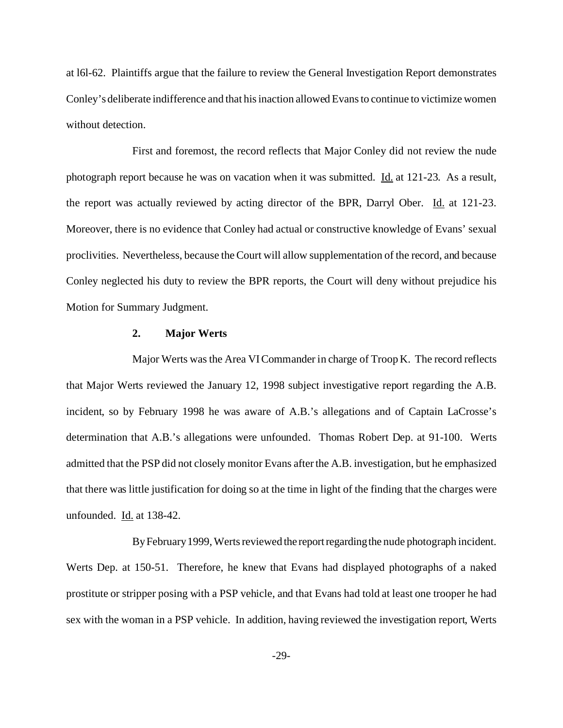at l6l-62. Plaintiffs argue that the failure to review the General Investigation Report demonstrates Conley's deliberate indifference and that his inaction allowed Evans to continue to victimize women without detection.

First and foremost, the record reflects that Major Conley did not review the nude photograph report because he was on vacation when it was submitted. Id. at 121-23. As a result, the report was actually reviewed by acting director of the BPR, Darryl Ober. Id. at 121-23. Moreover, there is no evidence that Conley had actual or constructive knowledge of Evans' sexual proclivities. Nevertheless, because the Court will allow supplementation of the record, and because Conley neglected his duty to review the BPR reports, the Court will deny without prejudice his Motion for Summary Judgment.

# **2. Major Werts**

Major Werts was the Area VI Commander in charge of Troop K. The record reflects that Major Werts reviewed the January 12, 1998 subject investigative report regarding the A.B. incident, so by February 1998 he was aware of A.B.'s allegations and of Captain LaCrosse's determination that A.B.'s allegations were unfounded. Thomas Robert Dep. at 91-100. Werts admitted that the PSP did not closely monitor Evans after the A.B. investigation, but he emphasized that there was little justification for doing so at the time in light of the finding that the charges were unfounded. Id. at 138-42.

By February 1999, Werts reviewed the reportregardingthe nude photograph incident. Werts Dep. at 150-51. Therefore, he knew that Evans had displayed photographs of a naked prostitute or stripper posing with a PSP vehicle, and that Evans had told at least one trooper he had sex with the woman in a PSP vehicle. In addition, having reviewed the investigation report, Werts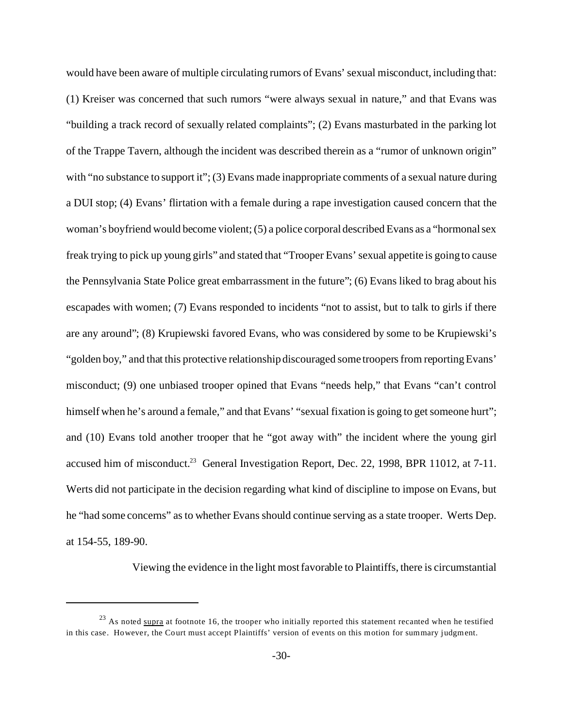would have been aware of multiple circulating rumors of Evans' sexual misconduct, including that: (1) Kreiser was concerned that such rumors "were always sexual in nature," and that Evans was "building a track record of sexually related complaints"; (2) Evans masturbated in the parking lot of the Trappe Tavern, although the incident was described therein as a "rumor of unknown origin" with "no substance to support it"; (3) Evans made inappropriate comments of a sexual nature during a DUI stop; (4) Evans' flirtation with a female during a rape investigation caused concern that the woman's boyfriend would become violent; (5) a police corporal described Evans as a "hormonal sex freak trying to pick up young girls" and stated that "Trooper Evans' sexual appetite is going to cause the Pennsylvania State Police great embarrassment in the future"; (6) Evans liked to brag about his escapades with women; (7) Evans responded to incidents "not to assist, but to talk to girls if there are any around"; (8) Krupiewski favored Evans, who was considered by some to be Krupiewski's "golden boy," and that this protective relationship discouraged some troopers from reporting Evans' misconduct; (9) one unbiased trooper opined that Evans "needs help," that Evans "can't control himself when he's around a female," and that Evans' "sexual fixation is going to get someone hurt"; and (10) Evans told another trooper that he "got away with" the incident where the young girl accused him of misconduct.<sup>23</sup> General Investigation Report, Dec. 22, 1998, BPR 11012, at 7-11. Werts did not participate in the decision regarding what kind of discipline to impose on Evans, but he "had some concerns" as to whether Evans should continue serving as a state trooper. Werts Dep. at 154-55, 189-90.

Viewing the evidence in the light most favorable to Plaintiffs, there is circumstantial

 $23$  As noted supra at footnote 16, the trooper who initially reported this statement recanted when he testified in this case. However, the Court must accept Plaintiffs' version of events on this motion for summary judgment.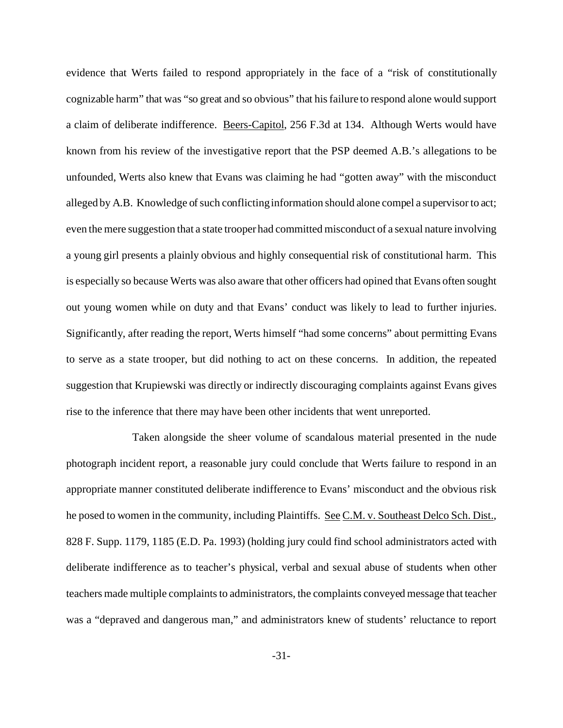evidence that Werts failed to respond appropriately in the face of a "risk of constitutionally cognizable harm" that was "so great and so obvious" that his failure to respond alone would support a claim of deliberate indifference. Beers-Capitol, 256 F.3d at 134. Although Werts would have known from his review of the investigative report that the PSP deemed A.B.'s allegations to be unfounded, Werts also knew that Evans was claiming he had "gotten away" with the misconduct alleged by A.B. Knowledge of such conflicting information should alone compel a supervisor to act; even the mere suggestion that a state trooper had committed misconduct of a sexual nature involving a young girl presents a plainly obvious and highly consequential risk of constitutional harm. This is especially so because Werts was also aware that other officers had opined that Evans often sought out young women while on duty and that Evans' conduct was likely to lead to further injuries. Significantly, after reading the report, Werts himself "had some concerns" about permitting Evans to serve as a state trooper, but did nothing to act on these concerns. In addition, the repeated suggestion that Krupiewski was directly or indirectly discouraging complaints against Evans gives rise to the inference that there may have been other incidents that went unreported.

Taken alongside the sheer volume of scandalous material presented in the nude photograph incident report, a reasonable jury could conclude that Werts failure to respond in an appropriate manner constituted deliberate indifference to Evans' misconduct and the obvious risk he posed to women in the community, including Plaintiffs. See C.M. v. Southeast Delco Sch. Dist., 828 F. Supp. 1179, 1185 (E.D. Pa. 1993) (holding jury could find school administrators acted with deliberate indifference as to teacher's physical, verbal and sexual abuse of students when other teachers made multiple complaints to administrators, the complaints conveyed message that teacher was a "depraved and dangerous man," and administrators knew of students' reluctance to report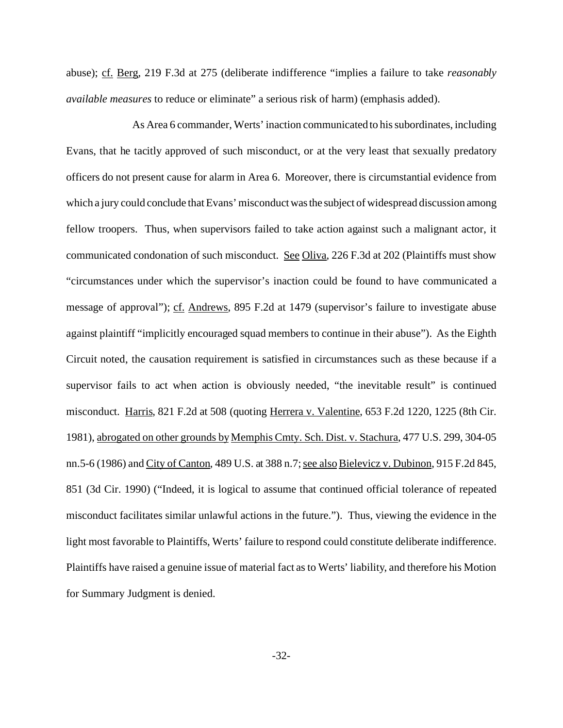abuse); cf. Berg, 219 F.3d at 275 (deliberate indifference "implies a failure to take *reasonably available measures* to reduce or eliminate" a serious risk of harm) (emphasis added).

As Area 6 commander, Werts' inaction communicated to his subordinates, including Evans, that he tacitly approved of such misconduct, or at the very least that sexually predatory officers do not present cause for alarm in Area 6. Moreover, there is circumstantial evidence from which a jury could conclude that Evans' misconduct was the subject of widespread discussion among fellow troopers. Thus, when supervisors failed to take action against such a malignant actor, it communicated condonation of such misconduct. See Oliva, 226 F.3d at 202 (Plaintiffs must show "circumstances under which the supervisor's inaction could be found to have communicated a message of approval"); cf. Andrews, 895 F.2d at 1479 (supervisor's failure to investigate abuse against plaintiff "implicitly encouraged squad members to continue in their abuse"). As the Eighth Circuit noted, the causation requirement is satisfied in circumstances such as these because if a supervisor fails to act when action is obviously needed, "the inevitable result" is continued misconduct. Harris, 821 F.2d at 508 (quoting Herrera v. Valentine, 653 F.2d 1220, 1225 (8th Cir. 1981), abrogated on other grounds by Memphis Cmty. Sch. Dist. v. Stachura, 477 U.S. 299, 304-05 nn.5-6 (1986) and City of Canton, 489 U.S. at 388 n.7; see also Bielevicz v. Dubinon, 915 F.2d 845, 851 (3d Cir. 1990) ("Indeed, it is logical to assume that continued official tolerance of repeated misconduct facilitates similar unlawful actions in the future."). Thus, viewing the evidence in the light most favorable to Plaintiffs, Werts' failure to respond could constitute deliberate indifference. Plaintiffs have raised a genuine issue of material fact as to Werts' liability, and therefore his Motion for Summary Judgment is denied.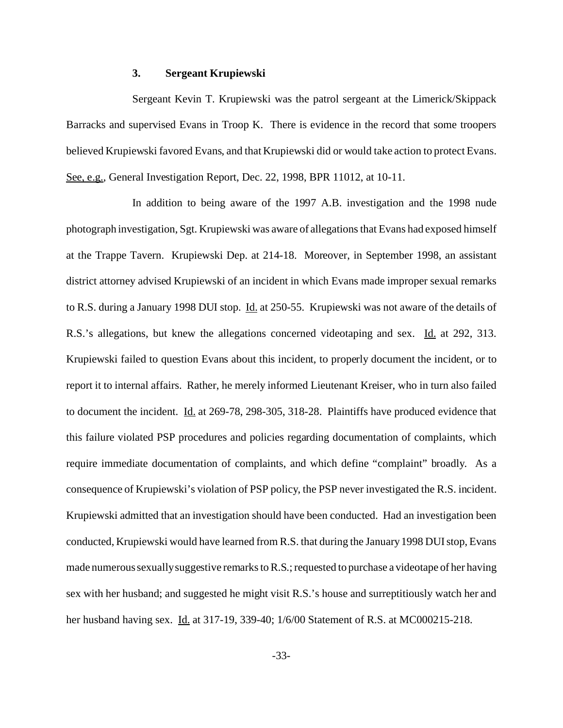#### **3. Sergeant Krupiewski**

Sergeant Kevin T. Krupiewski was the patrol sergeant at the Limerick/Skippack Barracks and supervised Evans in Troop K. There is evidence in the record that some troopers believed Krupiewski favored Evans, and that Krupiewski did or would take action to protect Evans. See, e.g., General Investigation Report, Dec. 22, 1998, BPR 11012, at 10-11.

In addition to being aware of the 1997 A.B. investigation and the 1998 nude photograph investigation, Sgt. Krupiewski was aware of allegations that Evans had exposed himself at the Trappe Tavern. Krupiewski Dep. at 214-18. Moreover, in September 1998, an assistant district attorney advised Krupiewski of an incident in which Evans made improper sexual remarks to R.S. during a January 1998 DUI stop. Id. at 250-55. Krupiewski was not aware of the details of R.S.'s allegations, but knew the allegations concerned videotaping and sex. Id. at 292, 313. Krupiewski failed to question Evans about this incident, to properly document the incident, or to report it to internal affairs. Rather, he merely informed Lieutenant Kreiser, who in turn also failed to document the incident. Id. at 269-78, 298-305, 318-28. Plaintiffs have produced evidence that this failure violated PSP procedures and policies regarding documentation of complaints, which require immediate documentation of complaints, and which define "complaint" broadly. As a consequence of Krupiewski's violation of PSP policy, the PSP never investigated the R.S. incident. Krupiewski admitted that an investigation should have been conducted. Had an investigation been conducted, Krupiewski would have learned from R.S. that during the January 1998 DUI stop, Evans made numerous sexually suggestive remarks to R.S.; requested to purchase a videotape of her having sex with her husband; and suggested he might visit R.S.'s house and surreptitiously watch her and her husband having sex. **Id.** at 317-19, 339-40; 1/6/00 Statement of R.S. at MC000215-218.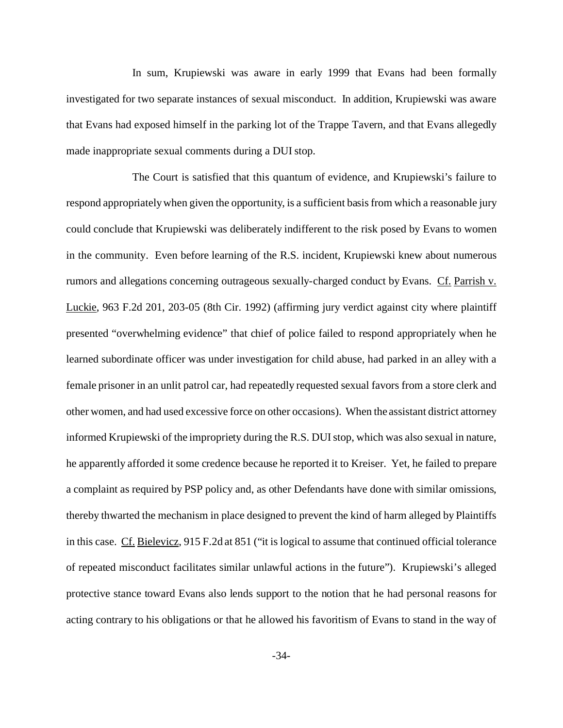In sum, Krupiewski was aware in early 1999 that Evans had been formally investigated for two separate instances of sexual misconduct. In addition, Krupiewski was aware that Evans had exposed himself in the parking lot of the Trappe Tavern, and that Evans allegedly made inappropriate sexual comments during a DUI stop.

The Court is satisfied that this quantum of evidence, and Krupiewski's failure to respond appropriately when given the opportunity, is a sufficient basis from which a reasonable jury could conclude that Krupiewski was deliberately indifferent to the risk posed by Evans to women in the community. Even before learning of the R.S. incident, Krupiewski knew about numerous rumors and allegations concerning outrageous sexually-charged conduct by Evans. Cf. Parrish v. Luckie, 963 F.2d 201, 203-05 (8th Cir. 1992) (affirming jury verdict against city where plaintiff presented "overwhelming evidence" that chief of police failed to respond appropriately when he learned subordinate officer was under investigation for child abuse, had parked in an alley with a female prisoner in an unlit patrol car, had repeatedly requested sexual favors from a store clerk and other women, and had used excessive force on other occasions). When the assistant district attorney informed Krupiewski of the impropriety during the R.S. DUI stop, which was also sexual in nature, he apparently afforded it some credence because he reported it to Kreiser. Yet, he failed to prepare a complaint as required by PSP policy and, as other Defendants have done with similar omissions, thereby thwarted the mechanism in place designed to prevent the kind of harm alleged by Plaintiffs in this case. Cf. Bielevicz, 915 F.2d at 851 ("it is logical to assume that continued official tolerance of repeated misconduct facilitates similar unlawful actions in the future"). Krupiewski's alleged protective stance toward Evans also lends support to the notion that he had personal reasons for acting contrary to his obligations or that he allowed his favoritism of Evans to stand in the way of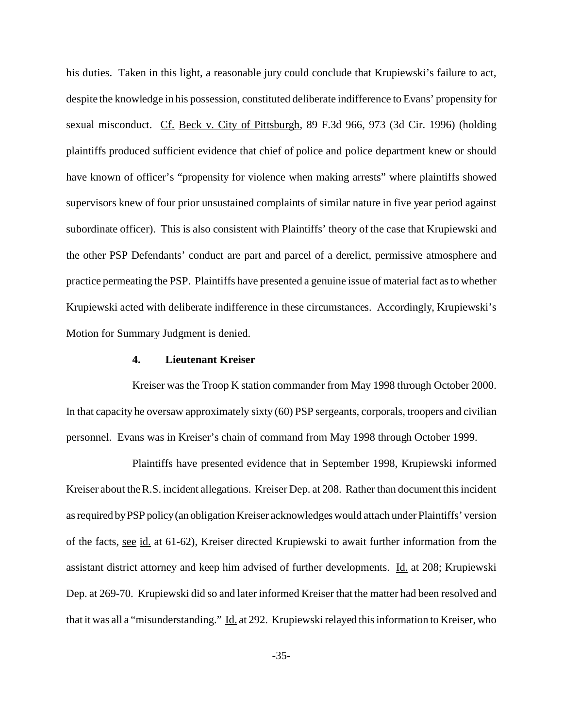his duties. Taken in this light, a reasonable jury could conclude that Krupiewski's failure to act, despite the knowledge in his possession, constituted deliberate indifference to Evans' propensity for sexual misconduct. Cf. Beck v. City of Pittsburgh, 89 F.3d 966, 973 (3d Cir. 1996) (holding plaintiffs produced sufficient evidence that chief of police and police department knew or should have known of officer's "propensity for violence when making arrests" where plaintiffs showed supervisors knew of four prior unsustained complaints of similar nature in five year period against subordinate officer). This is also consistent with Plaintiffs' theory of the case that Krupiewski and the other PSP Defendants' conduct are part and parcel of a derelict, permissive atmosphere and practice permeating the PSP. Plaintiffs have presented a genuine issue of material fact as to whether Krupiewski acted with deliberate indifference in these circumstances. Accordingly, Krupiewski's Motion for Summary Judgment is denied.

#### **4. Lieutenant Kreiser**

Kreiser was the Troop K station commander from May 1998 through October 2000. In that capacity he oversaw approximately sixty (60) PSP sergeants, corporals, troopers and civilian personnel. Evans was in Kreiser's chain of command from May 1998 through October 1999.

Plaintiffs have presented evidence that in September 1998, Krupiewski informed Kreiser about the R.S. incident allegations. Kreiser Dep. at 208. Rather than document this incident as required byPSP policy(an obligation Kreiser acknowledges would attach under Plaintiffs' version of the facts, see id. at 61-62), Kreiser directed Krupiewski to await further information from the assistant district attorney and keep him advised of further developments. Id. at 208; Krupiewski Dep. at 269-70. Krupiewski did so and later informed Kreiser that the matter had been resolved and that it was all a "misunderstanding." Id. at 292. Krupiewski relayed this information to Kreiser, who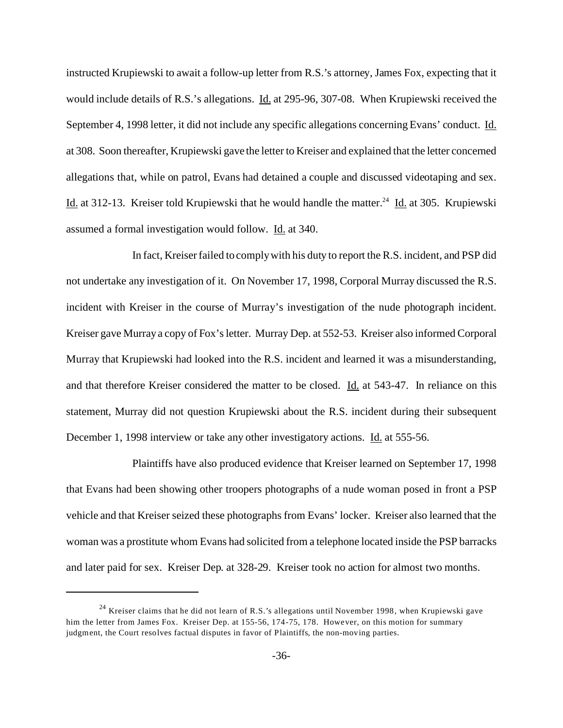instructed Krupiewski to await a follow-up letter from R.S.'s attorney, James Fox, expecting that it would include details of R.S.'s allegations. Id. at 295-96, 307-08. When Krupiewski received the September 4, 1998 letter, it did not include any specific allegations concerning Evans' conduct. Id. at 308. Soon thereafter, Krupiewski gave the letter to Kreiser and explained that the letter concerned allegations that, while on patrol, Evans had detained a couple and discussed videotaping and sex. Id. at 312-13. Kreiser told Krupiewski that he would handle the matter.<sup>24</sup> Id. at 305. Krupiewski assumed a formal investigation would follow. Id. at 340.

In fact, Kreiser failed to comply with his duty to report the R.S. incident, and PSP did not undertake any investigation of it. On November 17, 1998, Corporal Murray discussed the R.S. incident with Kreiser in the course of Murray's investigation of the nude photograph incident. Kreiser gave Murray a copy of Fox's letter. Murray Dep. at 552-53. Kreiser also informed Corporal Murray that Krupiewski had looked into the R.S. incident and learned it was a misunderstanding, and that therefore Kreiser considered the matter to be closed. Id. at 543-47. In reliance on this statement, Murray did not question Krupiewski about the R.S. incident during their subsequent December 1, 1998 interview or take any other investigatory actions. Id. at 555-56.

Plaintiffs have also produced evidence that Kreiser learned on September 17, 1998 that Evans had been showing other troopers photographs of a nude woman posed in front a PSP vehicle and that Kreiser seized these photographs from Evans' locker. Kreiser also learned that the woman was a prostitute whom Evans had solicited from a telephone located inside the PSP barracks and later paid for sex. Kreiser Dep. at 328-29. Kreiser took no action for almost two months.

 $^{24}$  Kreiser claims that he did not learn of R.S.'s allegations until November 1998, when Krupiewski gave him the letter from James Fox. Kreiser Dep. at 155-56, 174-75, 178. However, on this motion for summary judgment, the Court resolves factual disputes in favor of Plaintiffs, the non-moving parties.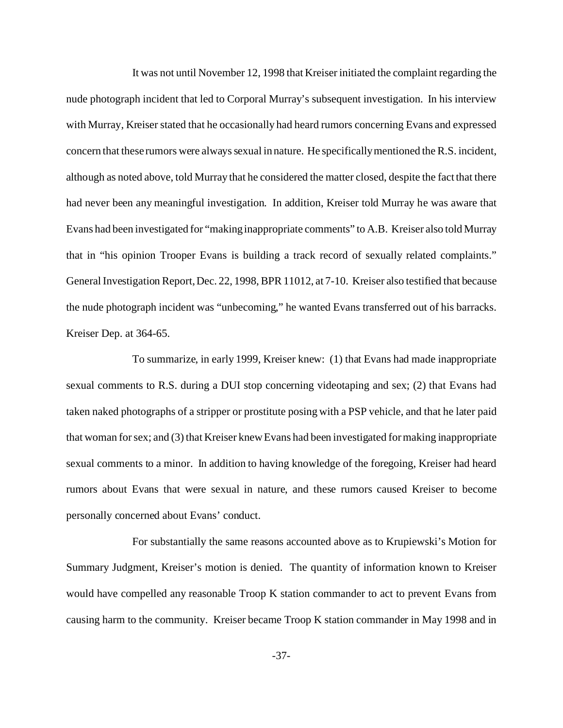It was not until November 12, 1998 that Kreiser initiated the complaint regarding the nude photograph incident that led to Corporal Murray's subsequent investigation. In his interview with Murray, Kreiser stated that he occasionally had heard rumors concerning Evans and expressed concern that these rumors were always sexual in nature. He specifically mentioned the R.S. incident, although as noted above, told Murray that he considered the matter closed, despite the fact that there had never been any meaningful investigation. In addition, Kreiser told Murray he was aware that Evans had been investigated for "making inappropriate comments" to A.B. Kreiser also told Murray that in "his opinion Trooper Evans is building a track record of sexually related complaints." General Investigation Report, Dec. 22, 1998, BPR 11012, at 7-10. Kreiser also testified that because the nude photograph incident was "unbecoming," he wanted Evans transferred out of his barracks. Kreiser Dep. at 364-65.

To summarize, in early 1999, Kreiser knew: (1) that Evans had made inappropriate sexual comments to R.S. during a DUI stop concerning videotaping and sex; (2) that Evans had taken naked photographs of a stripper or prostitute posing with a PSP vehicle, and that he later paid that woman for sex; and (3) that Kreiser knew Evans had been investigated for making inappropriate sexual comments to a minor. In addition to having knowledge of the foregoing, Kreiser had heard rumors about Evans that were sexual in nature, and these rumors caused Kreiser to become personally concerned about Evans' conduct.

For substantially the same reasons accounted above as to Krupiewski's Motion for Summary Judgment, Kreiser's motion is denied. The quantity of information known to Kreiser would have compelled any reasonable Troop K station commander to act to prevent Evans from causing harm to the community. Kreiser became Troop K station commander in May 1998 and in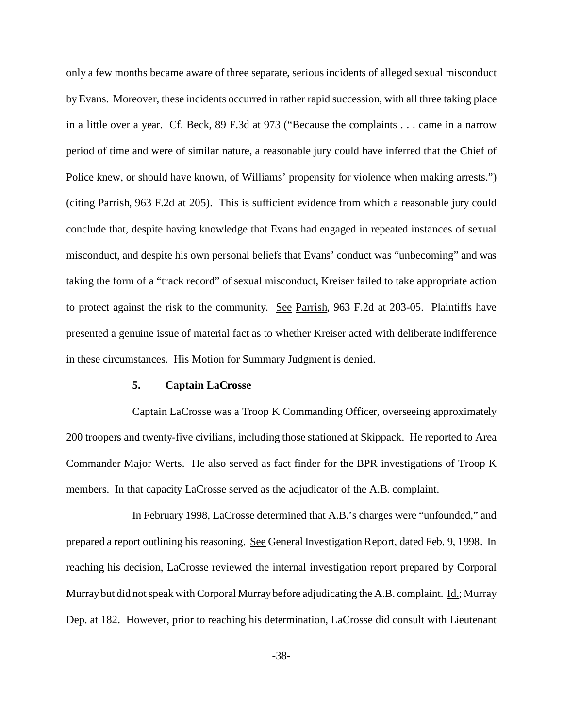only a few months became aware of three separate, serious incidents of alleged sexual misconduct by Evans. Moreover, these incidents occurred in rather rapid succession, with all three taking place in a little over a year. Cf. Beck, 89 F.3d at 973 ("Because the complaints . . . came in a narrow period of time and were of similar nature, a reasonable jury could have inferred that the Chief of Police knew, or should have known, of Williams' propensity for violence when making arrests.") (citing Parrish, 963 F.2d at 205). This is sufficient evidence from which a reasonable jury could conclude that, despite having knowledge that Evans had engaged in repeated instances of sexual misconduct, and despite his own personal beliefs that Evans' conduct was "unbecoming" and was taking the form of a "track record" of sexual misconduct, Kreiser failed to take appropriate action to protect against the risk to the community. See Parrish, 963 F.2d at 203-05. Plaintiffs have presented a genuine issue of material fact as to whether Kreiser acted with deliberate indifference in these circumstances. His Motion for Summary Judgment is denied.

### **5. Captain LaCrosse**

Captain LaCrosse was a Troop K Commanding Officer, overseeing approximately 200 troopers and twenty-five civilians, including those stationed at Skippack. He reported to Area Commander Major Werts. He also served as fact finder for the BPR investigations of Troop K members. In that capacity LaCrosse served as the adjudicator of the A.B. complaint.

In February 1998, LaCrosse determined that A.B.'s charges were "unfounded," and prepared a report outlining his reasoning. See General Investigation Report, dated Feb. 9, 1998. In reaching his decision, LaCrosse reviewed the internal investigation report prepared by Corporal Murray but did not speak with Corporal Murray before adjudicating the A.B. complaint. Id.; Murray Dep. at 182. However, prior to reaching his determination, LaCrosse did consult with Lieutenant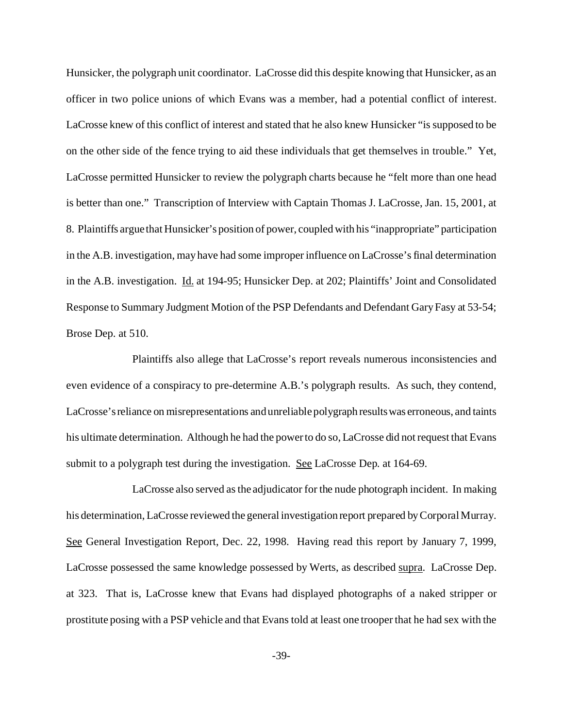Hunsicker, the polygraph unit coordinator. LaCrosse did this despite knowing that Hunsicker, as an officer in two police unions of which Evans was a member, had a potential conflict of interest. LaCrosse knew of this conflict of interest and stated that he also knew Hunsicker "is supposed to be on the other side of the fence trying to aid these individuals that get themselves in trouble." Yet, LaCrosse permitted Hunsicker to review the polygraph charts because he "felt more than one head is better than one." Transcription of Interview with Captain Thomas J. LaCrosse, Jan. 15, 2001, at 8. Plaintiffs argue that Hunsicker's position of power, coupled with his "inappropriate" participation in the A.B. investigation, may have had some improper influence on LaCrosse's final determination in the A.B. investigation. Id. at 194-95; Hunsicker Dep. at 202; Plaintiffs' Joint and Consolidated Response to Summary Judgment Motion of the PSP Defendants and Defendant Gary Fasy at 53-54; Brose Dep. at 510.

Plaintiffs also allege that LaCrosse's report reveals numerous inconsistencies and even evidence of a conspiracy to pre-determine A.B.'s polygraph results. As such, they contend, LaCrosse's reliance on misrepresentations and unreliable polygraph resultswas erroneous, and taints his ultimate determination. Although he had the power to do so, LaCrosse did not request that Evans submit to a polygraph test during the investigation. See LaCrosse Dep. at 164-69.

LaCrosse also served as the adjudicator for the nude photograph incident. In making his determination, LaCrosse reviewed the general investigation report prepared by Corporal Murray. See General Investigation Report, Dec. 22, 1998. Having read this report by January 7, 1999, LaCrosse possessed the same knowledge possessed by Werts, as described supra. LaCrosse Dep. at 323. That is, LaCrosse knew that Evans had displayed photographs of a naked stripper or prostitute posing with a PSP vehicle and that Evans told at least one trooper that he had sex with the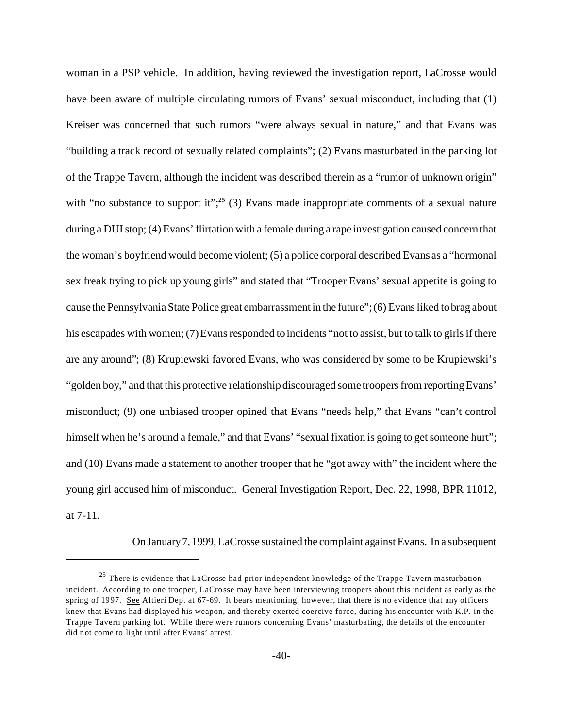woman in a PSP vehicle. In addition, having reviewed the investigation report, LaCrosse would have been aware of multiple circulating rumors of Evans' sexual misconduct, including that (1) Kreiser was concerned that such rumors "were always sexual in nature," and that Evans was "building a track record of sexually related complaints"; (2) Evans masturbated in the parking lot of the Trappe Tavern, although the incident was described therein as a "rumor of unknown origin" with "no substance to support it";<sup>25</sup> (3) Evans made inappropriate comments of a sexual nature during a DUI stop; (4) Evans' flirtation with a female during a rape investigation caused concern that the woman's boyfriend would become violent; (5) a police corporal described Evans as a "hormonal sex freak trying to pick up young girls" and stated that "Trooper Evans' sexual appetite is going to cause the Pennsylvania State Police great embarrassment in the future"; (6) Evans liked to brag about his escapades with women; (7) Evans responded to incidents "not to assist, but to talk to girls if there are any around"; (8) Krupiewski favored Evans, who was considered by some to be Krupiewski's "golden boy," and that this protective relationship discouraged some troopers from reporting Evans' misconduct; (9) one unbiased trooper opined that Evans "needs help," that Evans "can't control himself when he's around a female," and that Evans' "sexual fixation is going to get someone hurt"; and (10) Evans made a statement to another trooper that he "got away with" the incident where the young girl accused him of misconduct. General Investigation Report, Dec. 22, 1998, BPR 11012, at 7-11.

On January7, 1999, LaCrosse sustained the complaint against Evans. In a subsequent

<sup>&</sup>lt;sup>25</sup> There is evidence that LaCrosse had prior independent knowledge of the Trappe Tavern masturbation incident. According to one trooper, LaCrosse may have been interviewing troopers about this incident as early as the spring of 1997. See Altieri Dep. at 67-69. It bears mentioning, however, that there is no evidence that any officers knew that Evans had displayed his weapon, and thereby exerted coercive force, during his encounter with K.P. in the Trappe Tavern parking lot. While there were rumors concerning Evans' masturbating, the details of the encounter did not come to light until after Evans' arrest.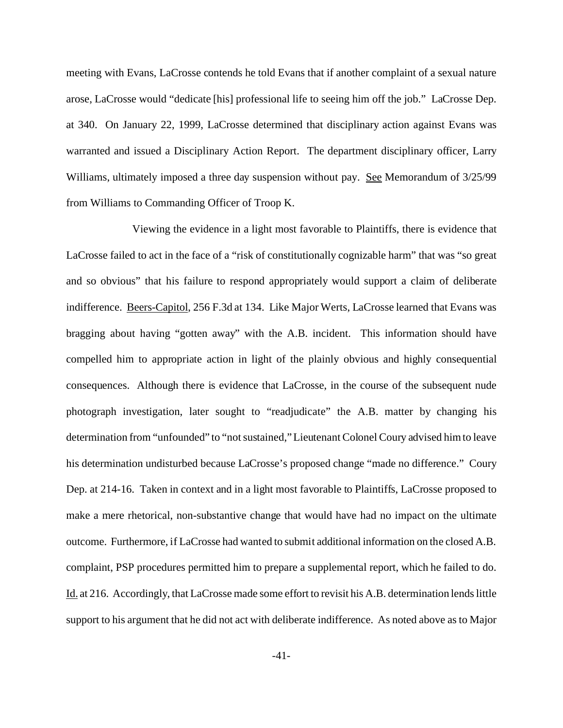meeting with Evans, LaCrosse contends he told Evans that if another complaint of a sexual nature arose, LaCrosse would "dedicate [his] professional life to seeing him off the job." LaCrosse Dep. at 340. On January 22, 1999, LaCrosse determined that disciplinary action against Evans was warranted and issued a Disciplinary Action Report. The department disciplinary officer, Larry Williams, ultimately imposed a three day suspension without pay. <u>See</u> Memorandum of 3/25/99 from Williams to Commanding Officer of Troop K.

Viewing the evidence in a light most favorable to Plaintiffs, there is evidence that LaCrosse failed to act in the face of a "risk of constitutionally cognizable harm" that was "so great and so obvious" that his failure to respond appropriately would support a claim of deliberate indifference. Beers-Capitol, 256 F.3d at 134. Like Major Werts, LaCrosse learned that Evans was bragging about having "gotten away" with the A.B. incident. This information should have compelled him to appropriate action in light of the plainly obvious and highly consequential consequences. Although there is evidence that LaCrosse, in the course of the subsequent nude photograph investigation, later sought to "readjudicate" the A.B. matter by changing his determination from "unfounded" to "not sustained," Lieutenant Colonel Coury advised him to leave his determination undisturbed because LaCrosse's proposed change "made no difference." Coury Dep. at 214-16. Taken in context and in a light most favorable to Plaintiffs, LaCrosse proposed to make a mere rhetorical, non-substantive change that would have had no impact on the ultimate outcome. Furthermore, if LaCrosse had wanted to submit additional information on the closed A.B. complaint, PSP procedures permitted him to prepare a supplemental report, which he failed to do. Id. at 216. Accordingly, that LaCrosse made some effort to revisit his A.B. determination lends little support to his argument that he did not act with deliberate indifference. As noted above as to Major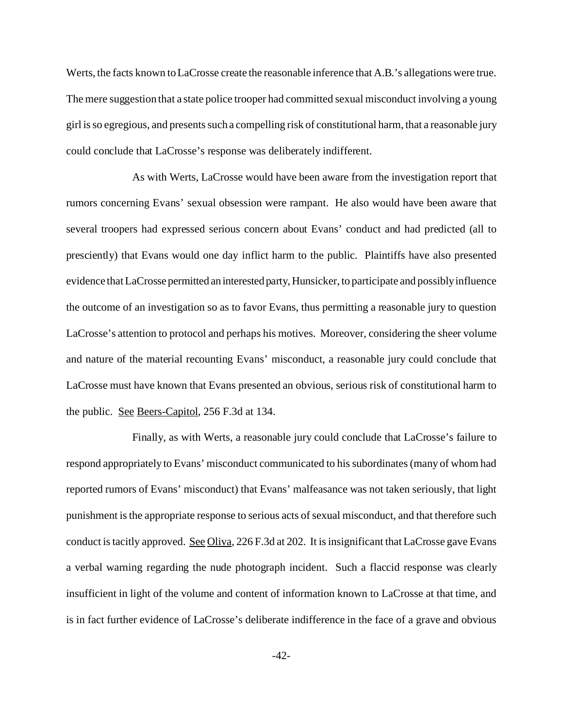Werts, the facts known to LaCrosse create the reasonable inference that A.B.'s allegations were true. The mere suggestion that a state police trooper had committed sexual misconduct involving a young girl is so egregious, and presents such a compelling risk of constitutional harm, that a reasonable jury could conclude that LaCrosse's response was deliberately indifferent.

As with Werts, LaCrosse would have been aware from the investigation report that rumors concerning Evans' sexual obsession were rampant. He also would have been aware that several troopers had expressed serious concern about Evans' conduct and had predicted (all to presciently) that Evans would one day inflict harm to the public. Plaintiffs have also presented evidence that LaCrosse permitted an interested party,Hunsicker, to participate and possibly influence the outcome of an investigation so as to favor Evans, thus permitting a reasonable jury to question LaCrosse's attention to protocol and perhaps his motives. Moreover, considering the sheer volume and nature of the material recounting Evans' misconduct, a reasonable jury could conclude that LaCrosse must have known that Evans presented an obvious, serious risk of constitutional harm to the public. See Beers-Capitol, 256 F.3d at 134.

Finally, as with Werts, a reasonable jury could conclude that LaCrosse's failure to respond appropriately to Evans' misconduct communicated to his subordinates (many of whom had reported rumors of Evans' misconduct) that Evans' malfeasance was not taken seriously, that light punishment is the appropriate response to serious acts of sexual misconduct, and that therefore such conduct is tacitly approved. See Oliva, 226 F.3d at 202. It is insignificant that LaCrosse gave Evans a verbal warning regarding the nude photograph incident. Such a flaccid response was clearly insufficient in light of the volume and content of information known to LaCrosse at that time, and is in fact further evidence of LaCrosse's deliberate indifference in the face of a grave and obvious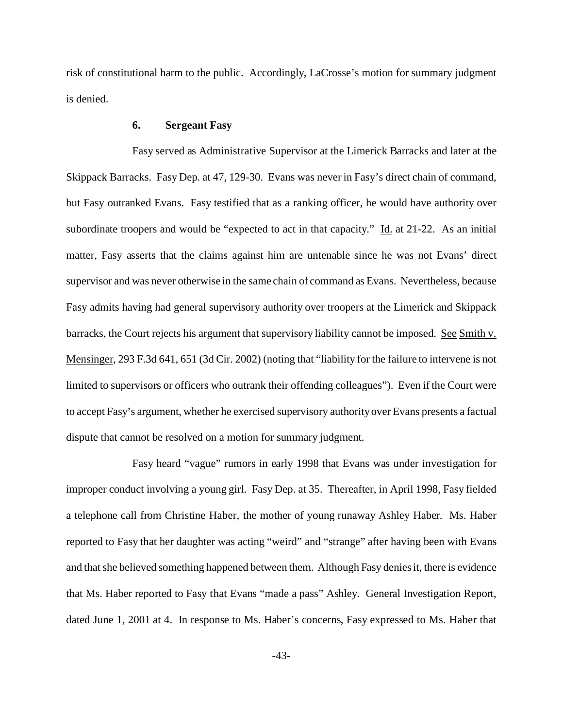risk of constitutional harm to the public. Accordingly, LaCrosse's motion for summary judgment is denied.

### **6. Sergeant Fasy**

 Fasy served as Administrative Supervisor at the Limerick Barracks and later at the Skippack Barracks. Fasy Dep. at 47, 129-30. Evans was never in Fasy's direct chain of command, but Fasy outranked Evans. Fasy testified that as a ranking officer, he would have authority over subordinate troopers and would be "expected to act in that capacity." Id. at 21-22. As an initial matter, Fasy asserts that the claims against him are untenable since he was not Evans' direct supervisor and was never otherwise in the same chain of command as Evans. Nevertheless, because Fasy admits having had general supervisory authority over troopers at the Limerick and Skippack barracks, the Court rejects his argument that supervisory liability cannot be imposed. See Smith v. Mensinger, 293 F.3d 641, 651 (3d Cir. 2002) (noting that "liability for the failure to intervene is not limited to supervisors or officers who outrank their offending colleagues"). Even if the Court were to accept Fasy's argument, whether he exercised supervisory authority over Evans presents a factual dispute that cannot be resolved on a motion for summary judgment.

Fasy heard "vague" rumors in early 1998 that Evans was under investigation for improper conduct involving a young girl. Fasy Dep. at 35. Thereafter, in April 1998, Fasy fielded a telephone call from Christine Haber, the mother of young runaway Ashley Haber. Ms. Haber reported to Fasy that her daughter was acting "weird" and "strange" after having been with Evans and that she believed something happened between them. Although Fasy denies it, there is evidence that Ms. Haber reported to Fasy that Evans "made a pass" Ashley. General Investigation Report, dated June 1, 2001 at 4. In response to Ms. Haber's concerns, Fasy expressed to Ms. Haber that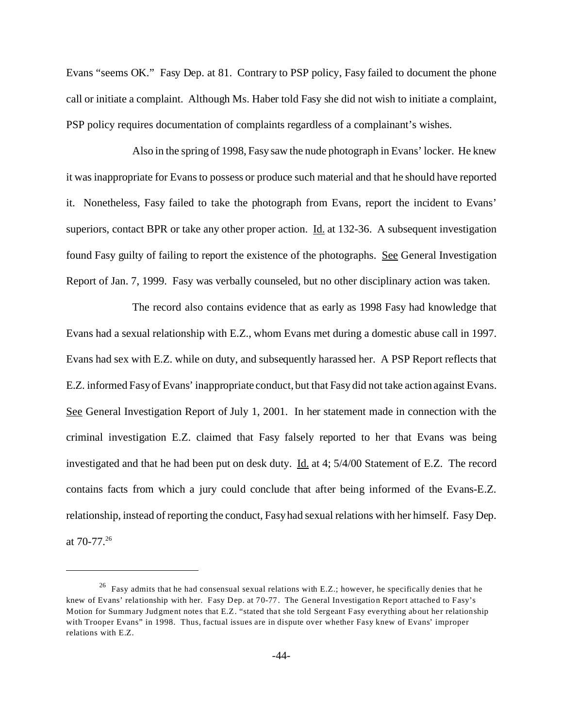Evans "seems OK." Fasy Dep. at 81. Contrary to PSP policy, Fasy failed to document the phone call or initiate a complaint. Although Ms. Haber told Fasy she did not wish to initiate a complaint, PSP policy requires documentation of complaints regardless of a complainant's wishes.

Also in the spring of 1998, Fasy saw the nude photograph in Evans' locker. He knew it was inappropriate for Evans to possess or produce such material and that he should have reported it. Nonetheless, Fasy failed to take the photograph from Evans, report the incident to Evans' superiors, contact BPR or take any other proper action. Id. at 132-36. A subsequent investigation found Fasy guilty of failing to report the existence of the photographs. See General Investigation Report of Jan. 7, 1999. Fasy was verbally counseled, but no other disciplinary action was taken.

The record also contains evidence that as early as 1998 Fasy had knowledge that Evans had a sexual relationship with E.Z., whom Evans met during a domestic abuse call in 1997. Evans had sex with E.Z. while on duty, and subsequently harassed her. A PSP Report reflects that E.Z. informed Fasy of Evans' inappropriate conduct, but that Fasy did not take action against Evans. See General Investigation Report of July 1, 2001. In her statement made in connection with the criminal investigation E.Z. claimed that Fasy falsely reported to her that Evans was being investigated and that he had been put on desk duty. Id. at 4; 5/4/00 Statement of E.Z. The record contains facts from which a jury could conclude that after being informed of the Evans-E.Z. relationship, instead of reporting the conduct, Fasy had sexual relations with her himself. Fasy Dep. at 70-77.26

<sup>&</sup>lt;sup>26</sup> Fasy admits that he had consensual sexual relations with E.Z.; however, he specifically denies that he knew of Evans' relationship with her. Fasy Dep. at 70-77. The General Investigation Report attached to Fasy's Motion for Summary Judgment notes that E.Z. "stated that she told Sergeant Fasy everything about her relationship with Trooper Evans" in 1998. Thus, factual issues are in dispute over whether Fasy knew of Evans' improper relations with E.Z.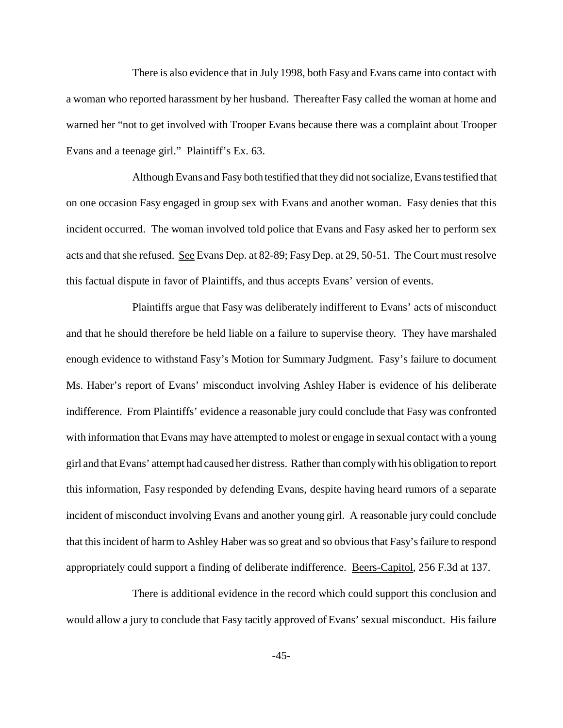There is also evidence that in July 1998, both Fasy and Evans came into contact with a woman who reported harassment by her husband. Thereafter Fasy called the woman at home and warned her "not to get involved with Trooper Evans because there was a complaint about Trooper Evans and a teenage girl." Plaintiff's Ex. 63.

Although Evans and Fasy both testified that they did not socialize, Evans testified that on one occasion Fasy engaged in group sex with Evans and another woman. Fasy denies that this incident occurred. The woman involved told police that Evans and Fasy asked her to perform sex acts and that she refused. See Evans Dep. at 82-89; Fasy Dep. at 29, 50-51. The Court must resolve this factual dispute in favor of Plaintiffs, and thus accepts Evans' version of events.

Plaintiffs argue that Fasy was deliberately indifferent to Evans' acts of misconduct and that he should therefore be held liable on a failure to supervise theory. They have marshaled enough evidence to withstand Fasy's Motion for Summary Judgment. Fasy's failure to document Ms. Haber's report of Evans' misconduct involving Ashley Haber is evidence of his deliberate indifference. From Plaintiffs' evidence a reasonable jury could conclude that Fasy was confronted with information that Evans may have attempted to molest or engage in sexual contact with a young girl and that Evans' attempt had caused her distress. Rather than comply with his obligation to report this information, Fasy responded by defending Evans, despite having heard rumors of a separate incident of misconduct involving Evans and another young girl. A reasonable jury could conclude that this incident of harm to Ashley Haber was so great and so obvious that Fasy's failure to respond appropriately could support a finding of deliberate indifference. Beers-Capitol, 256 F.3d at 137.

There is additional evidence in the record which could support this conclusion and would allow a jury to conclude that Fasy tacitly approved of Evans' sexual misconduct. His failure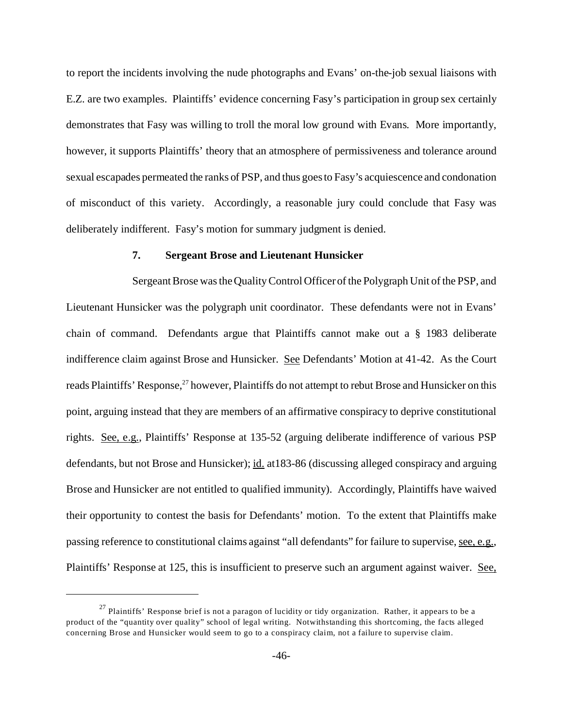to report the incidents involving the nude photographs and Evans' on-the-job sexual liaisons with E.Z. are two examples. Plaintiffs' evidence concerning Fasy's participation in group sex certainly demonstrates that Fasy was willing to troll the moral low ground with Evans. More importantly, however, it supports Plaintiffs' theory that an atmosphere of permissiveness and tolerance around sexual escapades permeated the ranks of PSP, and thus goes to Fasy's acquiescence and condonation of misconduct of this variety. Accordingly, a reasonable jury could conclude that Fasy was deliberately indifferent. Fasy's motion for summary judgment is denied.

### **7. Sergeant Brose and Lieutenant Hunsicker**

Sergeant Brose was the Quality Control Officer of the Polygraph Unit of the PSP, and Lieutenant Hunsicker was the polygraph unit coordinator. These defendants were not in Evans' chain of command. Defendants argue that Plaintiffs cannot make out a § 1983 deliberate indifference claim against Brose and Hunsicker. See Defendants' Motion at 41-42. As the Court reads Plaintiffs' Response,<sup>27</sup> however, Plaintiffs do not attempt to rebut Brose and Hunsicker on this point, arguing instead that they are members of an affirmative conspiracy to deprive constitutional rights. See, e.g., Plaintiffs' Response at 135-52 (arguing deliberate indifference of various PSP defendants, but not Brose and Hunsicker); id. at183-86 (discussing alleged conspiracy and arguing Brose and Hunsicker are not entitled to qualified immunity). Accordingly, Plaintiffs have waived their opportunity to contest the basis for Defendants' motion. To the extent that Plaintiffs make passing reference to constitutional claims against "all defendants" for failure to supervise, see, e.g., Plaintiffs' Response at 125, this is insufficient to preserve such an argument against waiver. See,

 $27$  Plaintiffs' Response brief is not a paragon of lucidity or tidy organization. Rather, it appears to be a product of the "quantity over quality" school of legal writing. Notwithstanding this shortcoming, the facts alleged concerning Brose and Hunsicker would seem to go to a conspiracy claim, not a failure to supervise claim.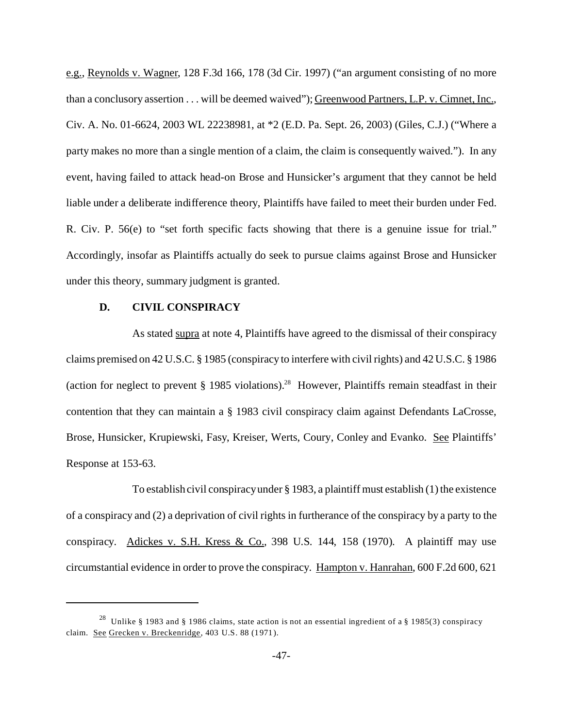e.g., Reynolds v. Wagner, 128 F.3d 166, 178 (3d Cir. 1997) ("an argument consisting of no more than a conclusory assertion . . . will be deemed waived"); Greenwood Partners, L.P. v. Cimnet, Inc., Civ. A. No. 01-6624, 2003 WL 22238981, at \*2 (E.D. Pa. Sept. 26, 2003) (Giles, C.J.) ("Where a party makes no more than a single mention of a claim, the claim is consequently waived."). In any event, having failed to attack head-on Brose and Hunsicker's argument that they cannot be held liable under a deliberate indifference theory, Plaintiffs have failed to meet their burden under Fed. R. Civ. P. 56(e) to "set forth specific facts showing that there is a genuine issue for trial." Accordingly, insofar as Plaintiffs actually do seek to pursue claims against Brose and Hunsicker under this theory, summary judgment is granted.

#### **D. CIVIL CONSPIRACY**

As stated supra at note 4, Plaintiffs have agreed to the dismissal of their conspiracy claims premised on 42 U.S.C. § 1985 (conspiracy to interfere with civil rights) and 42 U.S.C. § 1986 (action for neglect to prevent  $\S$  1985 violations).<sup>28</sup> However, Plaintiffs remain steadfast in their contention that they can maintain a § 1983 civil conspiracy claim against Defendants LaCrosse, Brose, Hunsicker, Krupiewski, Fasy, Kreiser, Werts, Coury, Conley and Evanko. See Plaintiffs' Response at 153-63.

To establish civil conspiracy under § 1983, a plaintiff must establish (1) the existence of a conspiracy and (2) a deprivation of civil rights in furtherance of the conspiracy by a party to the conspiracy. Adickes v. S.H. Kress & Co., 398 U.S. 144, 158 (1970). A plaintiff may use circumstantial evidence in order to prove the conspiracy. Hampton v. Hanrahan, 600 F.2d 600, 621

<sup>28</sup> Unlike § 1983 and § 1986 claims, state action is not an essential ingredient of a § 1985(3) conspiracy claim. See Grecken v. Breckenridge, 403 U.S. 88 (1971).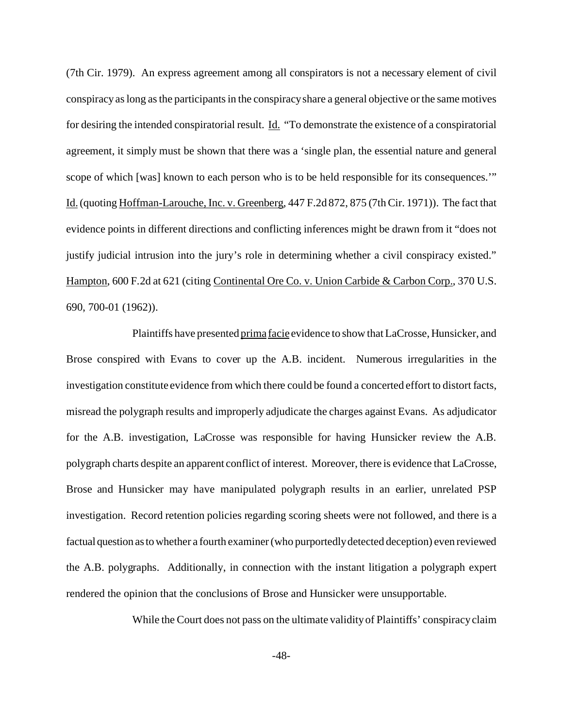(7th Cir. 1979). An express agreement among all conspirators is not a necessary element of civil conspiracy as long as the participants in the conspiracy share a general objective or the same motives for desiring the intended conspiratorial result. Id. "To demonstrate the existence of a conspiratorial agreement, it simply must be shown that there was a 'single plan, the essential nature and general scope of which [was] known to each person who is to be held responsible for its consequences.'" Id. (quoting Hoffman-Larouche, Inc. v. Greenberg, 447 F.2d 872, 875 (7th Cir. 1971)). The fact that evidence points in different directions and conflicting inferences might be drawn from it "does not justify judicial intrusion into the jury's role in determining whether a civil conspiracy existed." Hampton, 600 F.2d at 621 (citing Continental Ore Co. v. Union Carbide & Carbon Corp., 370 U.S. 690, 700-01 (1962)).

Plaintiffs have presented prima facie evidence to show that LaCrosse, Hunsicker, and Brose conspired with Evans to cover up the A.B. incident. Numerous irregularities in the investigation constitute evidence from which there could be found a concerted effort to distort facts, misread the polygraph results and improperly adjudicate the charges against Evans. As adjudicator for the A.B. investigation, LaCrosse was responsible for having Hunsicker review the A.B. polygraph charts despite an apparent conflict of interest. Moreover, there is evidence that LaCrosse, Brose and Hunsicker may have manipulated polygraph results in an earlier, unrelated PSP investigation. Record retention policies regarding scoring sheets were not followed, and there is a factual question astowhether a fourth examiner (who purportedly detected deception) even reviewed the A.B. polygraphs. Additionally, in connection with the instant litigation a polygraph expert rendered the opinion that the conclusions of Brose and Hunsicker were unsupportable.

While the Court does not pass on the ultimate validity of Plaintiffs' conspiracy claim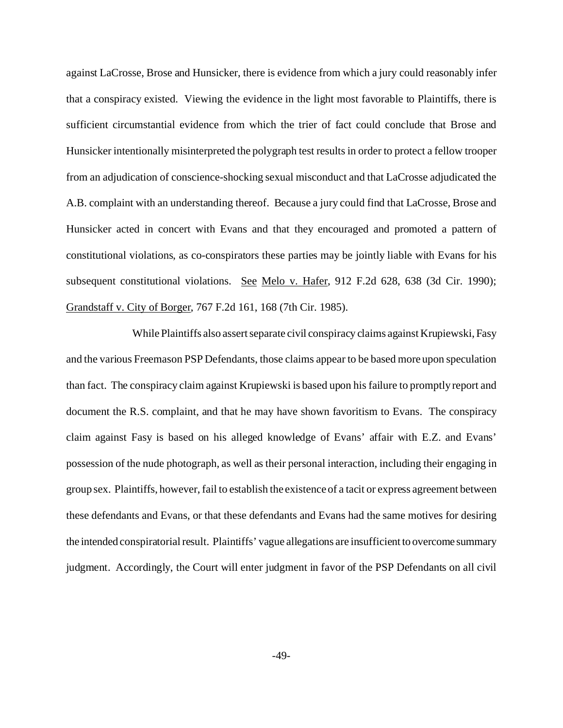against LaCrosse, Brose and Hunsicker, there is evidence from which a jury could reasonably infer that a conspiracy existed. Viewing the evidence in the light most favorable to Plaintiffs, there is sufficient circumstantial evidence from which the trier of fact could conclude that Brose and Hunsicker intentionally misinterpreted the polygraph test results in order to protect a fellow trooper from an adjudication of conscience-shocking sexual misconduct and that LaCrosse adjudicated the A.B. complaint with an understanding thereof. Because a jury could find that LaCrosse, Brose and Hunsicker acted in concert with Evans and that they encouraged and promoted a pattern of constitutional violations, as co-conspirators these parties may be jointly liable with Evans for his subsequent constitutional violations. See Melo v. Hafer, 912 F.2d 628, 638 (3d Cir. 1990); Grandstaff v. City of Borger, 767 F.2d 161, 168 (7th Cir. 1985).

While Plaintiffs also assert separate civil conspiracy claims against Krupiewski, Fasy and the various Freemason PSP Defendants, those claims appear to be based more upon speculation than fact. The conspiracy claim against Krupiewski is based upon his failure to promptly report and document the R.S. complaint, and that he may have shown favoritism to Evans. The conspiracy claim against Fasy is based on his alleged knowledge of Evans' affair with E.Z. and Evans' possession of the nude photograph, as well as their personal interaction, including their engaging in group sex. Plaintiffs, however, fail to establish the existence of a tacit or express agreement between these defendants and Evans, or that these defendants and Evans had the same motives for desiring the intended conspiratorial result. Plaintiffs' vague allegations are insufficient to overcome summary judgment. Accordingly, the Court will enter judgment in favor of the PSP Defendants on all civil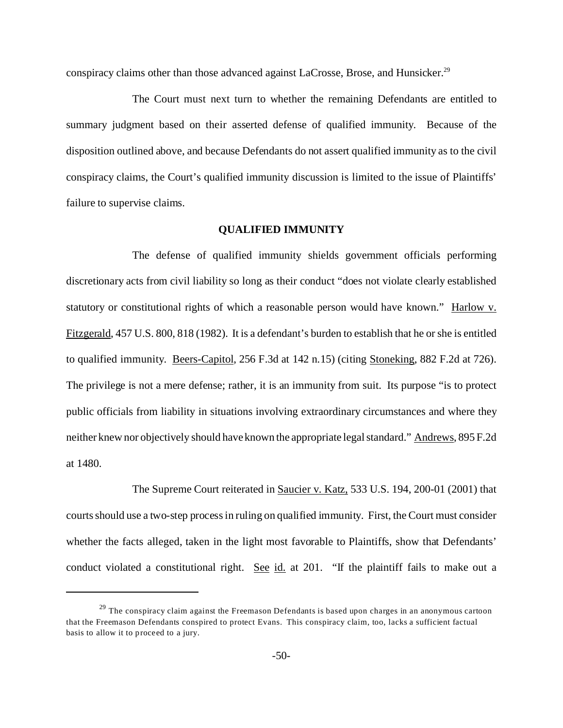conspiracy claims other than those advanced against LaCrosse, Brose, and Hunsicker.<sup>29</sup>

The Court must next turn to whether the remaining Defendants are entitled to summary judgment based on their asserted defense of qualified immunity. Because of the disposition outlined above, and because Defendants do not assert qualified immunity as to the civil conspiracy claims, the Court's qualified immunity discussion is limited to the issue of Plaintiffs' failure to supervise claims.

# **QUALIFIED IMMUNITY**

The defense of qualified immunity shields government officials performing discretionary acts from civil liability so long as their conduct "does not violate clearly established statutory or constitutional rights of which a reasonable person would have known." Harlow v. Fitzgerald, 457 U.S. 800, 818 (1982). It is a defendant's burden to establish that he or she is entitled to qualified immunity. Beers-Capitol, 256 F.3d at 142 n.15) (citing Stoneking, 882 F.2d at 726). The privilege is not a mere defense; rather, it is an immunity from suit. Its purpose "is to protect public officials from liability in situations involving extraordinary circumstances and where they neither knew nor objectively should have known the appropriate legal standard." Andrews, 895 F.2d at 1480.

The Supreme Court reiterated in Saucier v. Katz, 533 U.S. 194, 200-01 (2001) that courts should use a two-step process in ruling on qualified immunity. First, the Court must consider whether the facts alleged, taken in the light most favorable to Plaintiffs, show that Defendants' conduct violated a constitutional right. See id. at 201. "If the plaintiff fails to make out a

 $2<sup>9</sup>$  The conspiracy claim against the Freemason Defendants is based upon charges in an anonymous cartoon that the Freemason Defendants conspired to protect Evans. This conspiracy claim, too, lacks a sufficient factual basis to allow it to proceed to a jury.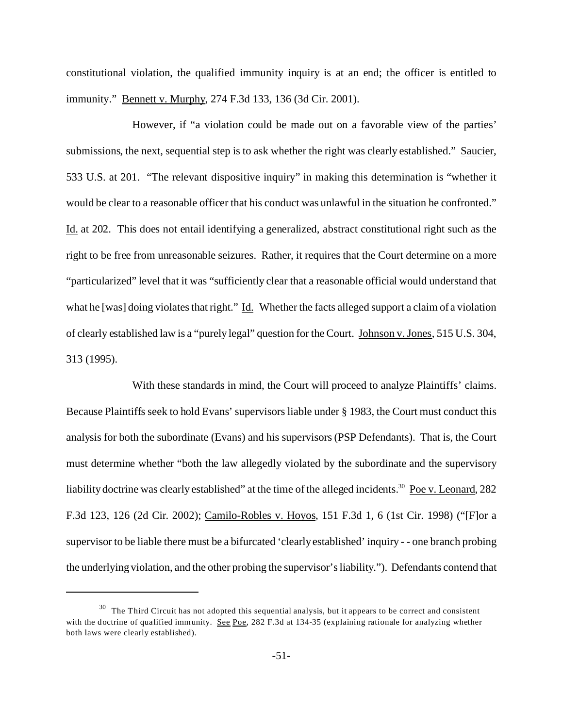constitutional violation, the qualified immunity inquiry is at an end; the officer is entitled to immunity." <u>Bennett v. Murphy</u>, 274 F.3d 133, 136 (3d Cir. 2001).

However, if "a violation could be made out on a favorable view of the parties' submissions, the next, sequential step is to ask whether the right was clearly established." Saucier, 533 U.S. at 201. "The relevant dispositive inquiry" in making this determination is "whether it would be clear to a reasonable officer that his conduct was unlawful in the situation he confronted." Id. at 202. This does not entail identifying a generalized, abstract constitutional right such as the right to be free from unreasonable seizures. Rather, it requires that the Court determine on a more "particularized" level that it was "sufficiently clear that a reasonable official would understand that what he [was] doing violates that right." Id. Whether the facts alleged support a claim of a violation of clearly established law is a "purely legal" question for the Court. Johnson v. Jones, 515 U.S. 304, 313 (1995).

With these standards in mind, the Court will proceed to analyze Plaintiffs' claims. Because Plaintiffs seek to hold Evans' supervisors liable under § 1983, the Court must conduct this analysis for both the subordinate (Evans) and his supervisors (PSP Defendants). That is, the Court must determine whether "both the law allegedly violated by the subordinate and the supervisory liability doctrine was clearly established" at the time of the alleged incidents.<sup>30</sup> Poe v. Leonard, 282 F.3d 123, 126 (2d Cir. 2002); Camilo-Robles v. Hoyos, 151 F.3d 1, 6 (1st Cir. 1998) ("[F]or a supervisor to be liable there must be a bifurcated 'clearly established' inquiry - - one branch probing the underlying violation, and the other probing the supervisor's liability."). Defendants contend that

 $30$  The Third Circuit has not adopted this sequential analysis, but it appears to be correct and consistent with the doctrine of qualified immunity. See Poe, 282 F.3d at 134-35 (explaining rationale for analyzing whether both laws were clearly established).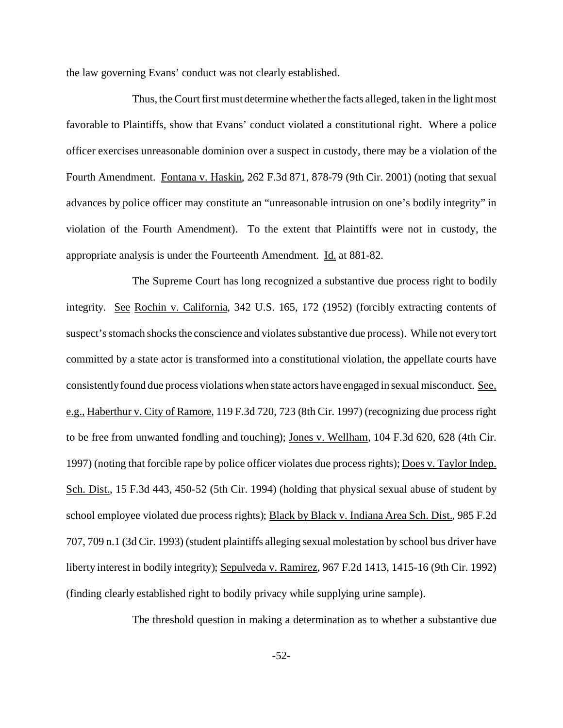the law governing Evans' conduct was not clearly established.

Thus, the Court first must determine whether the facts alleged, taken in the light most favorable to Plaintiffs, show that Evans' conduct violated a constitutional right. Where a police officer exercises unreasonable dominion over a suspect in custody, there may be a violation of the Fourth Amendment. Fontana v. Haskin, 262 F.3d 871, 878-79 (9th Cir. 2001) (noting that sexual advances by police officer may constitute an "unreasonable intrusion on one's bodily integrity" in violation of the Fourth Amendment). To the extent that Plaintiffs were not in custody, the appropriate analysis is under the Fourteenth Amendment. Id. at 881-82.

The Supreme Court has long recognized a substantive due process right to bodily integrity. See Rochin v. California, 342 U.S. 165, 172 (1952) (forcibly extracting contents of suspect's stomach shocks the conscience and violates substantive due process). While not every tort committed by a state actor is transformed into a constitutional violation, the appellate courts have consistently found due process violations when state actors have engaged in sexual misconduct. See, e.g., Haberthur v. City of Ramore, 119 F.3d 720, 723 (8th Cir. 1997) (recognizing due process right to be free from unwanted fondling and touching); Jones v. Wellham, 104 F.3d 620, 628 (4th Cir. 1997) (noting that forcible rape by police officer violates due process rights); Does v. Taylor Indep. Sch. Dist., 15 F.3d 443, 450-52 (5th Cir. 1994) (holding that physical sexual abuse of student by school employee violated due process rights); Black by Black v. Indiana Area Sch. Dist., 985 F.2d 707, 709 n.1 (3d Cir. 1993) (student plaintiffs alleging sexual molestation by school bus driver have liberty interest in bodily integrity); Sepulveda v. Ramirez, 967 F.2d 1413, 1415-16 (9th Cir. 1992) (finding clearly established right to bodily privacy while supplying urine sample).

The threshold question in making a determination as to whether a substantive due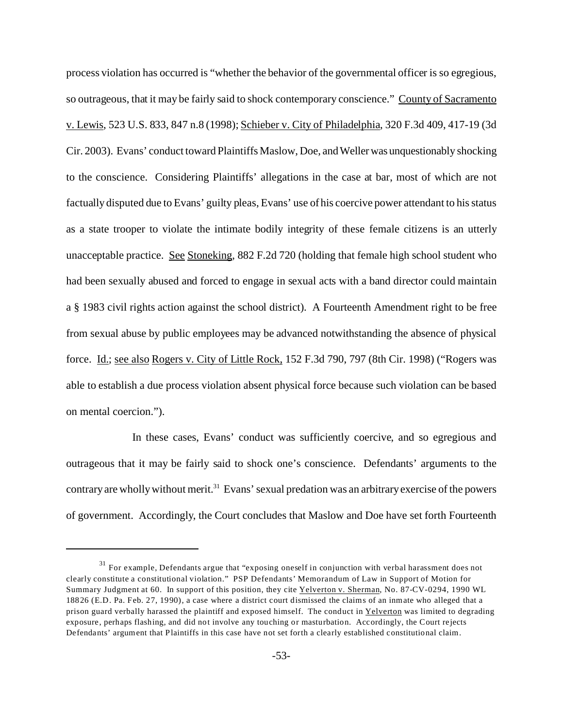process violation has occurred is "whether the behavior of the governmental officer is so egregious, so outrageous, that it may be fairly said to shock contemporary conscience." County of Sacramento v. Lewis, 523 U.S. 833, 847 n.8 (1998); Schieber v. City of Philadelphia, 320 F.3d 409, 417-19 (3d Cir. 2003). Evans' conduct toward Plaintiffs Maslow, Doe, and Wellerwas unquestionably shocking to the conscience. Considering Plaintiffs' allegations in the case at bar, most of which are not factually disputed due to Evans' guilty pleas, Evans' use of his coercive power attendant to his status as a state trooper to violate the intimate bodily integrity of these female citizens is an utterly unacceptable practice. See Stoneking, 882 F.2d 720 (holding that female high school student who had been sexually abused and forced to engage in sexual acts with a band director could maintain a § 1983 civil rights action against the school district). A Fourteenth Amendment right to be free from sexual abuse by public employees may be advanced notwithstanding the absence of physical force. Id.; see also Rogers v. City of Little Rock, 152 F.3d 790, 797 (8th Cir. 1998) ("Rogers was able to establish a due process violation absent physical force because such violation can be based on mental coercion.").

In these cases, Evans' conduct was sufficiently coercive, and so egregious and outrageous that it may be fairly said to shock one's conscience. Defendants' arguments to the contrary are wholly without merit.<sup>31</sup> Evans' sexual predation was an arbitrary exercise of the powers of government. Accordingly, the Court concludes that Maslow and Doe have set forth Fourteenth

<sup>&</sup>lt;sup>31</sup> For example, Defendants argue that "exposing oneself in conjunction with verbal harassment does not clearly constitute a constitutional violation." PSP Defendants' Memorandum of Law in Support of Motion for Summary Judgment at 60. In support of this position, they cite Yelverton v. Sherman, No. 87-CV-0294, 1990 WL 18826 (E.D. Pa. Feb. 27, 1990), a case where a district court dismissed the claims of an inmate who alleged that a prison guard verbally harassed the plaintiff and exposed himself. The conduct in Yelverton was limited to degrading exposure, perhaps flashing, and did not involve any touching or masturbation. Accordingly, the Court rejects Defendants' argument that Plaintiffs in this case have not set forth a clearly established constitutional claim.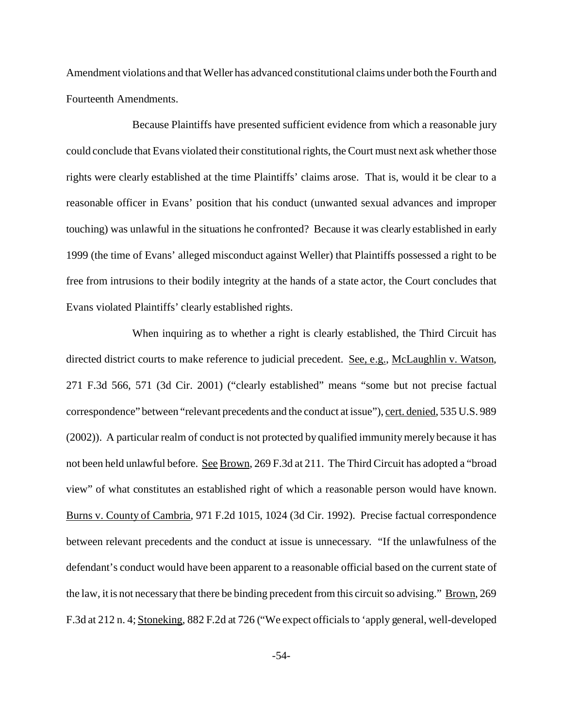Amendment violations and that Weller has advanced constitutional claims under both the Fourth and Fourteenth Amendments.

Because Plaintiffs have presented sufficient evidence from which a reasonable jury could conclude that Evans violated their constitutional rights, the Court must next ask whether those rights were clearly established at the time Plaintiffs' claims arose. That is, would it be clear to a reasonable officer in Evans' position that his conduct (unwanted sexual advances and improper touching) was unlawful in the situations he confronted? Because it was clearly established in early 1999 (the time of Evans' alleged misconduct against Weller) that Plaintiffs possessed a right to be free from intrusions to their bodily integrity at the hands of a state actor, the Court concludes that Evans violated Plaintiffs' clearly established rights.

When inquiring as to whether a right is clearly established, the Third Circuit has directed district courts to make reference to judicial precedent. See, e.g., McLaughlin v. Watson, 271 F.3d 566, 571 (3d Cir. 2001) ("clearly established" means "some but not precise factual correspondence" between "relevant precedents and the conduct at issue"), cert. denied, 535 U.S. 989 (2002)). A particular realm of conduct is not protected by qualified immunity merely because it has not been held unlawful before. See Brown, 269 F.3d at 211. The Third Circuit has adopted a "broad view" of what constitutes an established right of which a reasonable person would have known. Burns v. County of Cambria, 971 F.2d 1015, 1024 (3d Cir. 1992). Precise factual correspondence between relevant precedents and the conduct at issue is unnecessary. "If the unlawfulness of the defendant's conduct would have been apparent to a reasonable official based on the current state of the law, it is not necessary that there be binding precedent from this circuit so advising." Brown, 269 F.3d at 212 n. 4; Stoneking, 882 F.2d at 726 ("We expect officials to 'apply general, well-developed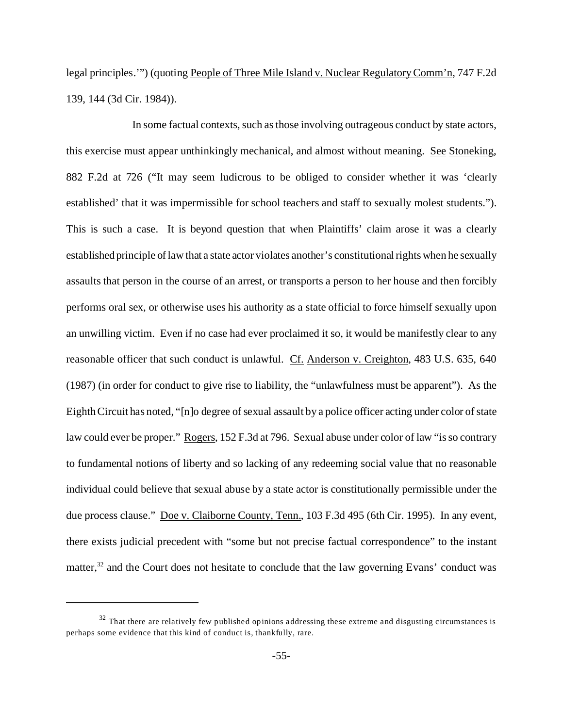legal principles.'") (quoting People of Three Mile Island v. Nuclear Regulatory Comm'n, 747 F.2d 139, 144 (3d Cir. 1984)).

In some factual contexts, such as those involving outrageous conduct by state actors, this exercise must appear unthinkingly mechanical, and almost without meaning. See Stoneking, 882 F.2d at 726 ("It may seem ludicrous to be obliged to consider whether it was 'clearly established' that it was impermissible for school teachers and staff to sexually molest students."). This is such a case. It is beyond question that when Plaintiffs' claim arose it was a clearly established principle of law that a state actor violates another's constitutional rights when he sexually assaults that person in the course of an arrest, or transports a person to her house and then forcibly performs oral sex, or otherwise uses his authority as a state official to force himself sexually upon an unwilling victim. Even if no case had ever proclaimed it so, it would be manifestly clear to any reasonable officer that such conduct is unlawful. Cf. Anderson v. Creighton, 483 U.S. 635, 640 (1987) (in order for conduct to give rise to liability, the "unlawfulness must be apparent"). As the Eighth Circuit has noted, "[n]o degree of sexual assault by a police officer acting under color of state law could ever be proper." Rogers, 152 F.3d at 796. Sexual abuse under color of law "is so contrary to fundamental notions of liberty and so lacking of any redeeming social value that no reasonable individual could believe that sexual abuse by a state actor is constitutionally permissible under the due process clause." <u>Doe v. Claiborne County, Tenn.</u>, 103 F.3d 495 (6th Cir. 1995). In any event, there exists judicial precedent with "some but not precise factual correspondence" to the instant matter,<sup>32</sup> and the Court does not hesitate to conclude that the law governing Evans' conduct was

 $32$  That there are relatively few published opinions addressing these extreme and disgusting circumstances is perhaps some evidence that this kind of conduct is, thankfully, rare.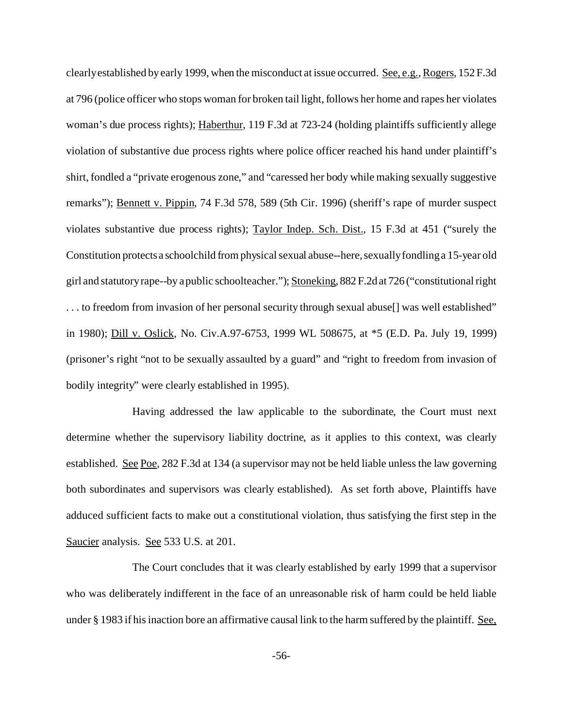clearly established by early 1999, when the misconduct at issue occurred. See, e.g., Rogers, 152 F.3d at 796 (police officer who stops woman for broken tail light, follows her home and rapes her violates woman's due process rights); Haberthur, 119 F.3d at 723-24 (holding plaintiffs sufficiently allege violation of substantive due process rights where police officer reached his hand under plaintiff's shirt, fondled a "private erogenous zone," and "caressed her body while making sexually suggestive remarks"); Bennett v. Pippin, 74 F.3d 578, 589 (5th Cir. 1996) (sheriff's rape of murder suspect violates substantive due process rights); Taylor Indep. Sch. Dist., 15 F.3d at 451 ("surely the Constitution protects a schoolchild from physical sexual abuse--here, sexually fondling a 15-year old girl and statutory rape--by a public schoolteacher."); Stoneking, 882 F.2d at 726 ("constitutional right ... to freedom from invasion of her personal security through sexual abuse[] was well established" in 1980); Dill v. Oslick, No. Civ.A.97-6753, 1999 WL 508675, at \*5 (E.D. Pa. July 19, 1999) (prisoner's right "not to be sexually assaulted by a guard" and "right to freedom from invasion of bodily integrity" were clearly established in 1995).

Having addressed the law applicable to the subordinate, the Court must next determine whether the supervisory liability doctrine, as it applies to this context, was clearly established. See Poe, 282 F.3d at 134 (a supervisor may not be held liable unless the law governing both subordinates and supervisors was clearly established). As set forth above, Plaintiffs have adduced sufficient facts to make out a constitutional violation, thus satisfying the first step in the Saucier analysis. See 533 U.S. at 201.

The Court concludes that it was clearly established by early 1999 that a supervisor who was deliberately indifferent in the face of an unreasonable risk of harm could be held liable under § 1983 if his inaction bore an affirmative causal link to the harm suffered by the plaintiff. See,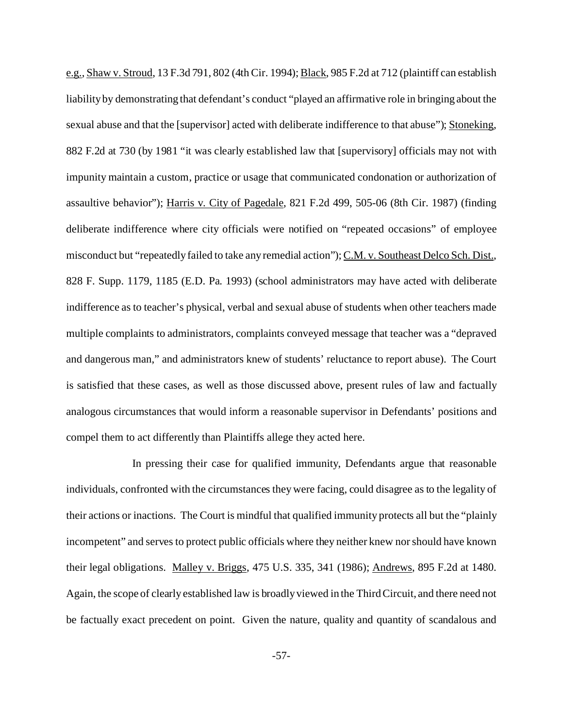e.g., Shaw v. Stroud, 13 F.3d 791, 802 (4th Cir. 1994); Black, 985 F.2d at 712 (plaintiff can establish liability by demonstrating that defendant's conduct "played an affirmative role in bringing about the sexual abuse and that the [supervisor] acted with deliberate indifference to that abuse"); Stoneking, 882 F.2d at 730 (by 1981 "it was clearly established law that [supervisory] officials may not with impunity maintain a custom, practice or usage that communicated condonation or authorization of assaultive behavior"); Harris v. City of Pagedale, 821 F.2d 499, 505-06 (8th Cir. 1987) (finding deliberate indifference where city officials were notified on "repeated occasions" of employee misconduct but "repeatedly failed to take any remedial action"); C.M. v. Southeast Delco Sch. Dist., 828 F. Supp. 1179, 1185 (E.D. Pa. 1993) (school administrators may have acted with deliberate indifference as to teacher's physical, verbal and sexual abuse of students when other teachers made multiple complaints to administrators, complaints conveyed message that teacher was a "depraved and dangerous man," and administrators knew of students' reluctance to report abuse). The Court is satisfied that these cases, as well as those discussed above, present rules of law and factually analogous circumstances that would inform a reasonable supervisor in Defendants' positions and compel them to act differently than Plaintiffs allege they acted here.

In pressing their case for qualified immunity, Defendants argue that reasonable individuals, confronted with the circumstances they were facing, could disagree as to the legality of their actions or inactions. The Court is mindful that qualified immunity protects all but the "plainly incompetent" and serves to protect public officials where they neither knew nor should have known their legal obligations. Malley v. Briggs, 475 U.S. 335, 341 (1986); Andrews, 895 F.2d at 1480. Again, the scope of clearly established law is broadly viewed in the Third Circuit, and there need not be factually exact precedent on point. Given the nature, quality and quantity of scandalous and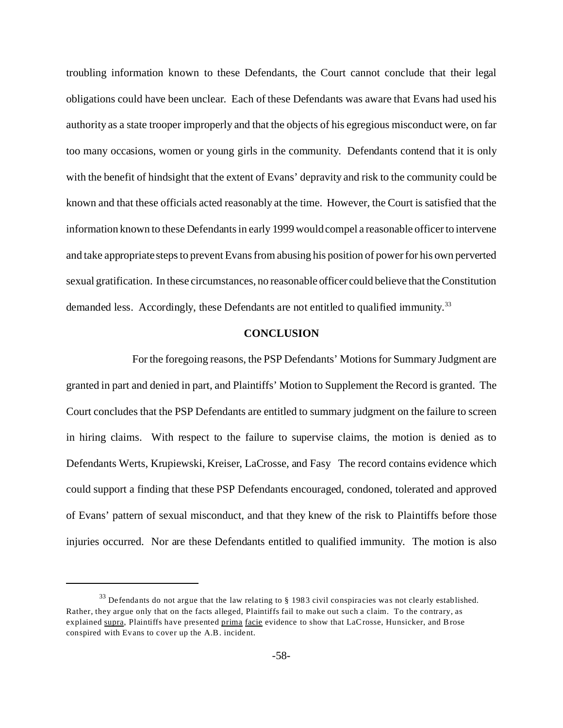troubling information known to these Defendants, the Court cannot conclude that their legal obligations could have been unclear. Each of these Defendants was aware that Evans had used his authority as a state trooper improperly and that the objects of his egregious misconduct were, on far too many occasions, women or young girls in the community. Defendants contend that it is only with the benefit of hindsight that the extent of Evans' depravity and risk to the community could be known and that these officials acted reasonably at the time. However, the Court is satisfied that the information known to these Defendants in early 1999 would compel a reasonable officer to intervene and take appropriate steps to prevent Evans from abusing his position of power for his own perverted sexual gratification. In these circumstances, no reasonable officer could believe that the Constitution demanded less. Accordingly, these Defendants are not entitled to qualified immunity.<sup>33</sup>

# **CONCLUSION**

For the foregoing reasons, the PSP Defendants' Motions for Summary Judgment are granted in part and denied in part, and Plaintiffs' Motion to Supplement the Record is granted. The Court concludes that the PSP Defendants are entitled to summary judgment on the failure to screen in hiring claims. With respect to the failure to supervise claims, the motion is denied as to Defendants Werts, Krupiewski, Kreiser, LaCrosse, and Fasy The record contains evidence which could support a finding that these PSP Defendants encouraged, condoned, tolerated and approved of Evans' pattern of sexual misconduct, and that they knew of the risk to Plaintiffs before those injuries occurred. Nor are these Defendants entitled to qualified immunity. The motion is also

 $33$  Defendants do not argue that the law relating to § 1983 civil conspiracies was not clearly established. Rather, they argue only that on the facts alleged, Plaintiffs fail to make out such a claim. To the contrary, as explained supra, Plaintiffs have presented prima facie evidence to show that LaCrosse, Hunsicker, and Brose conspired with Evans to cover up the A.B. incident.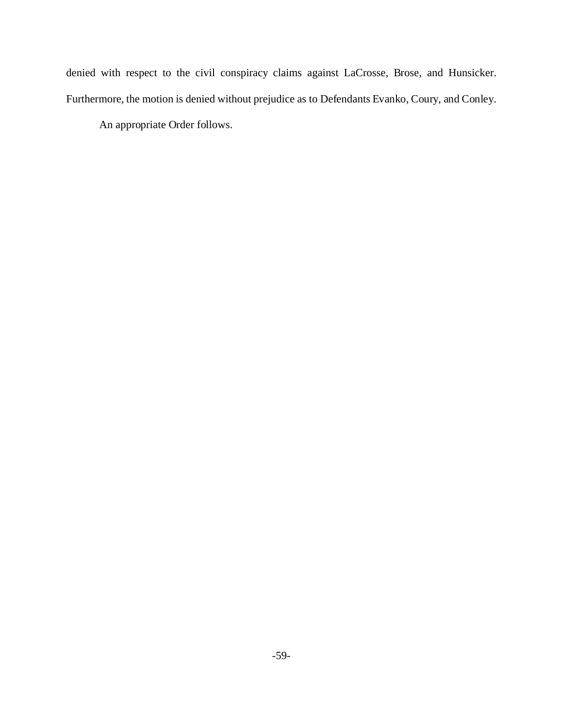denied with respect to the civil conspiracy claims against LaCrosse, Brose, and Hunsicker. Furthermore, the motion is denied without prejudice as to Defendants Evanko, Coury, and Conley.

An appropriate Order follows.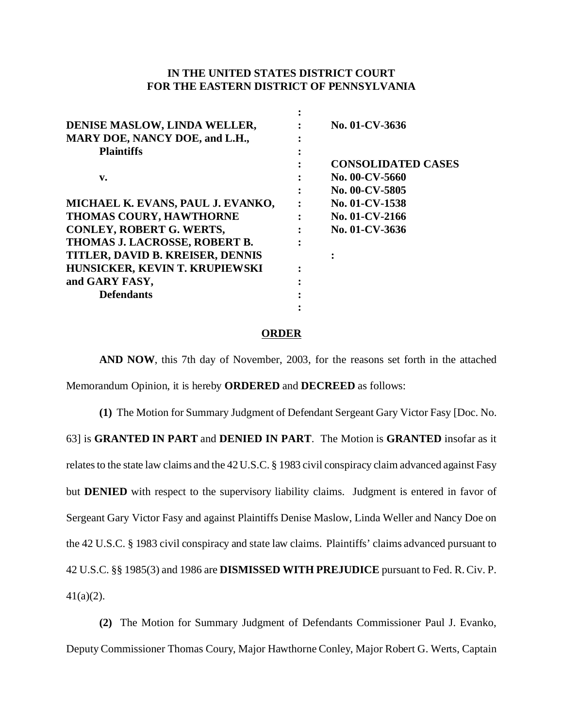# **IN THE UNITED STATES DISTRICT COURT FOR THE EASTERN DISTRICT OF PENNSYLVANIA**

| DENISE MASLOW, LINDA WELLER,      | No. 01-CV-3636            |
|-----------------------------------|---------------------------|
| MARY DOE, NANCY DOE, and L.H.,    |                           |
| <b>Plaintiffs</b>                 |                           |
|                                   | <b>CONSOLIDATED CASES</b> |
| $\mathbf{v}$ .                    | No. 00-CV-5660            |
|                                   | No. 00-CV-5805            |
| MICHAEL K. EVANS, PAUL J. EVANKO, | No. 01-CV-1538            |
| THOMAS COURY, HAWTHORNE           | No. 01-CV-2166            |
| CONLEY, ROBERT G. WERTS,          | No. 01-CV-3636            |
| THOMAS J. LACROSSE, ROBERT B.     |                           |
| TITLER, DAVID B. KREISER, DENNIS  |                           |
| HUNSICKER, KEVIN T. KRUPIEWSKI    |                           |
| and GARY FASY,                    |                           |
| <b>Defendants</b>                 |                           |
|                                   |                           |

#### **ORDER**

**AND NOW**, this 7th day of November, 2003, for the reasons set forth in the attached

Memorandum Opinion, it is hereby **ORDERED** and **DECREED** as follows:

**(1)** The Motion for Summary Judgment of Defendant Sergeant Gary Victor Fasy [Doc. No. 63] is **GRANTED IN PART** and **DENIED IN PART**. The Motion is **GRANTED** insofar as it relates to the state law claims and the 42 U.S.C. § 1983 civil conspiracy claim advanced against Fasy but **DENIED** with respect to the supervisory liability claims. Judgment is entered in favor of Sergeant Gary Victor Fasy and against Plaintiffs Denise Maslow, Linda Weller and Nancy Doe on the 42 U.S.C. § 1983 civil conspiracy and state law claims. Plaintiffs' claims advanced pursuant to 42 U.S.C. §§ 1985(3) and 1986 are **DISMISSED WITH PREJUDICE** pursuant to Fed. R. Civ. P.  $41(a)(2)$ .

**(2)** The Motion for Summary Judgment of Defendants Commissioner Paul J. Evanko, Deputy Commissioner Thomas Coury, Major Hawthorne Conley, Major Robert G. Werts, Captain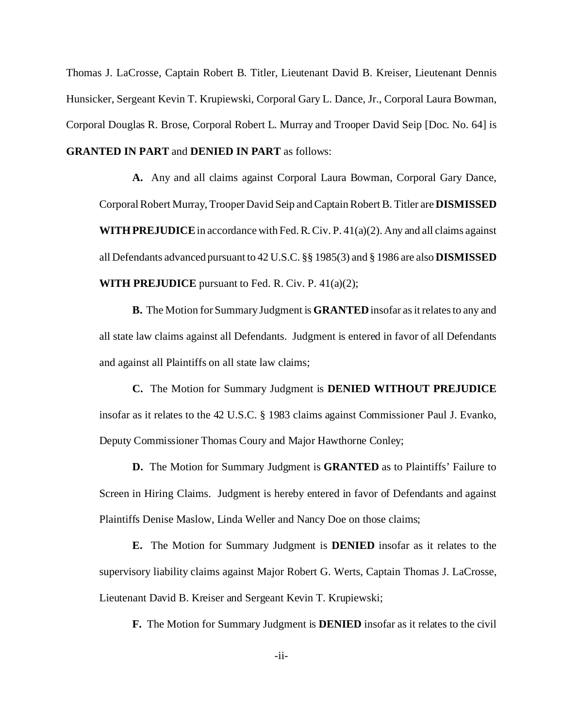Thomas J. LaCrosse, Captain Robert B. Titler, Lieutenant David B. Kreiser, Lieutenant Dennis Hunsicker, Sergeant Kevin T. Krupiewski, Corporal Gary L. Dance, Jr., Corporal Laura Bowman, Corporal Douglas R. Brose, Corporal Robert L. Murray and Trooper David Seip [Doc. No. 64] is **GRANTED IN PART** and **DENIED IN PART** as follows:

**A.** Any and all claims against Corporal Laura Bowman, Corporal Gary Dance, Corporal Robert Murray, Trooper David Seip and Captain Robert B. Titler are **DISMISSED WITH PREJUDICE** in accordance with Fed. R. Civ. P. 41(a)(2). Any and all claims against all Defendants advanced pursuant to 42 U.S.C. §§ 1985(3) and § 1986 are also **DISMISSED WITH PREJUDICE** pursuant to Fed. R. Civ. P. 41(a)(2);

**B.** The Motion for Summary Judgment is **GRANTED** insofar as it relates to any and all state law claims against all Defendants. Judgment is entered in favor of all Defendants and against all Plaintiffs on all state law claims;

**C.** The Motion for Summary Judgment is **DENIED WITHOUT PREJUDICE** insofar as it relates to the 42 U.S.C. § 1983 claims against Commissioner Paul J. Evanko, Deputy Commissioner Thomas Coury and Major Hawthorne Conley;

**D.** The Motion for Summary Judgment is **GRANTED** as to Plaintiffs' Failure to Screen in Hiring Claims. Judgment is hereby entered in favor of Defendants and against Plaintiffs Denise Maslow, Linda Weller and Nancy Doe on those claims;

**E.** The Motion for Summary Judgment is **DENIED** insofar as it relates to the supervisory liability claims against Major Robert G. Werts, Captain Thomas J. LaCrosse, Lieutenant David B. Kreiser and Sergeant Kevin T. Krupiewski;

**F.** The Motion for Summary Judgment is **DENIED** insofar as it relates to the civil